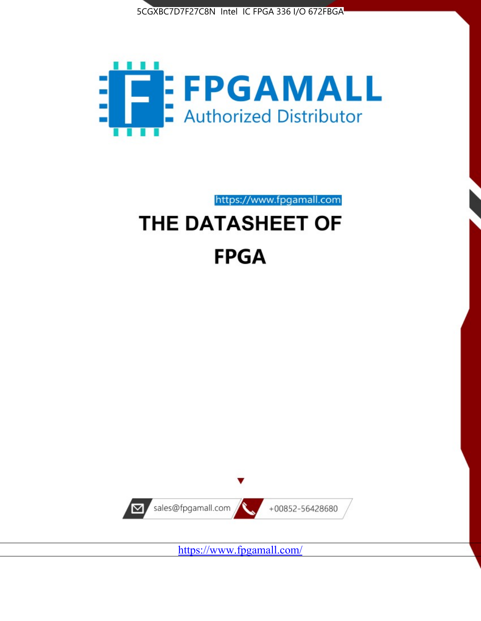



https://www.fpgamall.com

# THE DATASHEET OF **FPGA**



<https://www.fpgamall.com/>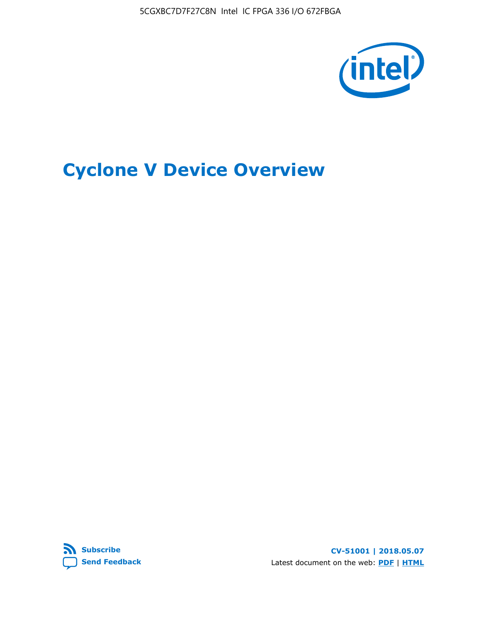5CGXBC7D7F27C8N Intel IC FPGA 336 I/O 672FBGA



# **Cyclone V Device Overview**



**CV-51001 | 2018.05.07** Latest document on the web: **[PDF](https://www.altera.com/en_US/pdfs/literature/hb/cyclone-v/cv_51001.pdf)** | **[HTML](https://www.altera.com/documentation/sam1403480548153.html)**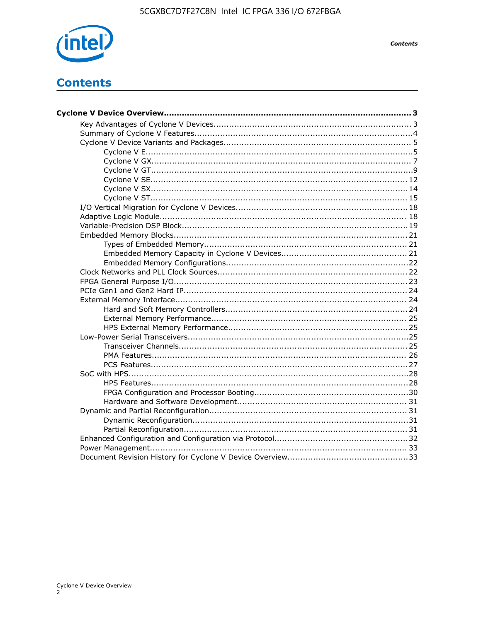

**Contents** 

## **Contents**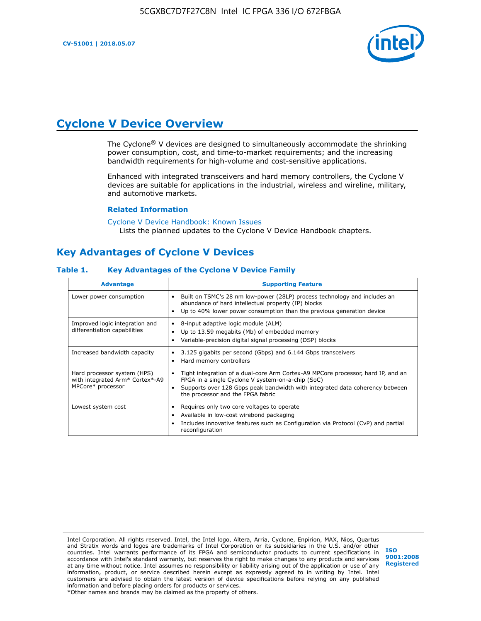**CV-51001 | 2018.05.07**



## **Cyclone V Device Overview**

The Cyclone® V devices are designed to simultaneously accommodate the shrinking power consumption, cost, and time-to-market requirements; and the increasing bandwidth requirements for high-volume and cost-sensitive applications.

Enhanced with integrated transceivers and hard memory controllers, the Cyclone V devices are suitable for applications in the industrial, wireless and wireline, military, and automotive markets.

#### **Related Information**

#### [Cyclone V Device Handbook: Known Issues](https://www.altera.com/support/support-resources/knowledge-base/solutions/rd12152011_347.html) Lists the planned updates to the Cyclone V Device Handbook chapters.

### **Key Advantages of Cyclone V Devices**

#### **Table 1. Key Advantages of the Cyclone V Device Family**

| <b>Advantage</b>                                                                    | <b>Supporting Feature</b>                                                                                                                                                                                                                                                    |
|-------------------------------------------------------------------------------------|------------------------------------------------------------------------------------------------------------------------------------------------------------------------------------------------------------------------------------------------------------------------------|
| Lower power consumption                                                             | Built on TSMC's 28 nm low-power (28LP) process technology and includes an<br>٠<br>abundance of hard intellectual property (IP) blocks<br>Up to 40% lower power consumption than the previous generation device<br>٠                                                          |
| Improved logic integration and<br>differentiation capabilities                      | 8-input adaptive logic module (ALM)<br>٠<br>Up to 13.59 megabits (Mb) of embedded memory<br>٠<br>Variable-precision digital signal processing (DSP) blocks<br>٠                                                                                                              |
| Increased bandwidth capacity                                                        | 3.125 gigabits per second (Gbps) and 6.144 Gbps transceivers<br>٠<br>Hard memory controllers<br>٠                                                                                                                                                                            |
| Hard processor system (HPS)<br>with integrated Arm* Cortex*-A9<br>MPCore* processor | Tight integration of a dual-core Arm Cortex-A9 MPCore processor, hard IP, and an<br>$\bullet$<br>FPGA in a single Cyclone V system-on-a-chip (SoC)<br>Supports over 128 Gbps peak bandwidth with integrated data coherency between<br>٠<br>the processor and the FPGA fabric |
| Lowest system cost                                                                  | Requires only two core voltages to operate<br>٠<br>Available in low-cost wirebond packaging<br>٠<br>Includes innovative features such as Configuration via Protocol (CvP) and partial<br>٠<br>reconfiguration                                                                |

Intel Corporation. All rights reserved. Intel, the Intel logo, Altera, Arria, Cyclone, Enpirion, MAX, Nios, Quartus and Stratix words and logos are trademarks of Intel Corporation or its subsidiaries in the U.S. and/or other countries. Intel warrants performance of its FPGA and semiconductor products to current specifications in accordance with Intel's standard warranty, but reserves the right to make changes to any products and services at any time without notice. Intel assumes no responsibility or liability arising out of the application or use of any information, product, or service described herein except as expressly agreed to in writing by Intel. Intel customers are advised to obtain the latest version of device specifications before relying on any published information and before placing orders for products or services. \*Other names and brands may be claimed as the property of others.

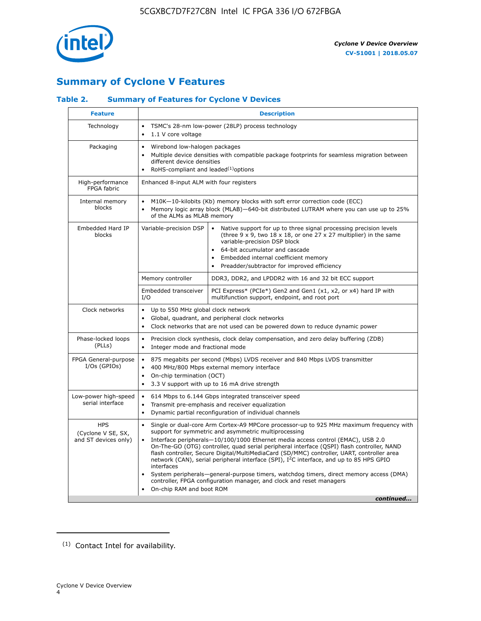

### **Summary of Cyclone V Features**

### **Table 2. Summary of Features for Cyclone V Devices**

| <b>Feature</b>                                           | <b>Description</b>                                                                                                                                                                                                                                                                                                                        |                                                                                                                                                                                                                                                                                                                                                                                                                                                                                                                                                                                                                                                                                                         |  |  |  |  |  |  |
|----------------------------------------------------------|-------------------------------------------------------------------------------------------------------------------------------------------------------------------------------------------------------------------------------------------------------------------------------------------------------------------------------------------|---------------------------------------------------------------------------------------------------------------------------------------------------------------------------------------------------------------------------------------------------------------------------------------------------------------------------------------------------------------------------------------------------------------------------------------------------------------------------------------------------------------------------------------------------------------------------------------------------------------------------------------------------------------------------------------------------------|--|--|--|--|--|--|
| Technology                                               | $\bullet$<br>1.1 V core voltage<br>$\bullet$                                                                                                                                                                                                                                                                                              | TSMC's 28-nm low-power (28LP) process technology                                                                                                                                                                                                                                                                                                                                                                                                                                                                                                                                                                                                                                                        |  |  |  |  |  |  |
| Packaging                                                | $\bullet$                                                                                                                                                                                                                                                                                                                                 | Wirebond low-halogen packages<br>Multiple device densities with compatible package footprints for seamless migration between<br>different device densities<br>RoHS-compliant and leaded $(1)$ options                                                                                                                                                                                                                                                                                                                                                                                                                                                                                                   |  |  |  |  |  |  |
| High-performance<br>FPGA fabric                          | Enhanced 8-input ALM with four registers                                                                                                                                                                                                                                                                                                  |                                                                                                                                                                                                                                                                                                                                                                                                                                                                                                                                                                                                                                                                                                         |  |  |  |  |  |  |
| Internal memory<br>blocks                                | of the ALMs as MLAB memory                                                                                                                                                                                                                                                                                                                | M10K-10-kilobits (Kb) memory blocks with soft error correction code (ECC)<br>Memory logic array block (MLAB)-640-bit distributed LUTRAM where you can use up to 25%                                                                                                                                                                                                                                                                                                                                                                                                                                                                                                                                     |  |  |  |  |  |  |
| Embedded Hard IP<br>blocks                               | Variable-precision DSP<br>Native support for up to three signal processing precision levels<br>(three $9 \times 9$ , two $18 \times 18$ , or one 27 x 27 multiplier) in the same<br>variable-precision DSP block<br>64-bit accumulator and cascade<br>Embedded internal coefficient memory<br>Preadder/subtractor for improved efficiency |                                                                                                                                                                                                                                                                                                                                                                                                                                                                                                                                                                                                                                                                                                         |  |  |  |  |  |  |
|                                                          | Memory controller                                                                                                                                                                                                                                                                                                                         | DDR3, DDR2, and LPDDR2 with 16 and 32 bit ECC support                                                                                                                                                                                                                                                                                                                                                                                                                                                                                                                                                                                                                                                   |  |  |  |  |  |  |
|                                                          | Embedded transceiver<br>I/O                                                                                                                                                                                                                                                                                                               | PCI Express* (PCIe*) Gen2 and Gen1 (x1, x2, or x4) hard IP with<br>multifunction support, endpoint, and root port                                                                                                                                                                                                                                                                                                                                                                                                                                                                                                                                                                                       |  |  |  |  |  |  |
| Clock networks                                           | Up to 550 MHz global clock network<br>$\bullet$<br>$\bullet$                                                                                                                                                                                                                                                                              | Global, quadrant, and peripheral clock networks<br>Clock networks that are not used can be powered down to reduce dynamic power                                                                                                                                                                                                                                                                                                                                                                                                                                                                                                                                                                         |  |  |  |  |  |  |
| Phase-locked loops<br>(PLLs)                             | $\bullet$<br>Integer mode and fractional mode<br>$\bullet$                                                                                                                                                                                                                                                                                | Precision clock synthesis, clock delay compensation, and zero delay buffering (ZDB)                                                                                                                                                                                                                                                                                                                                                                                                                                                                                                                                                                                                                     |  |  |  |  |  |  |
| FPGA General-purpose<br>$I/Os$ (GPIOs)                   | $\bullet$<br>$\bullet$<br>On-chip termination (OCT)<br>$\bullet$                                                                                                                                                                                                                                                                          | 875 megabits per second (Mbps) LVDS receiver and 840 Mbps LVDS transmitter<br>400 MHz/800 Mbps external memory interface<br>3.3 V support with up to 16 mA drive strength                                                                                                                                                                                                                                                                                                                                                                                                                                                                                                                               |  |  |  |  |  |  |
| Low-power high-speed<br>serial interface                 | 614 Mbps to 6.144 Gbps integrated transceiver speed<br>$\bullet$<br>Transmit pre-emphasis and receiver equalization<br>$\bullet$<br>Dynamic partial reconfiguration of individual channels<br>$\bullet$                                                                                                                                   |                                                                                                                                                                                                                                                                                                                                                                                                                                                                                                                                                                                                                                                                                                         |  |  |  |  |  |  |
| <b>HPS</b><br>(Cyclone V SE, SX,<br>and ST devices only) | $\bullet$<br>$\bullet$<br>interfaces<br>On-chip RAM and boot ROM                                                                                                                                                                                                                                                                          | Single or dual-core Arm Cortex-A9 MPCore processor-up to 925 MHz maximum frequency with<br>support for symmetric and asymmetric multiprocessing<br>Interface peripherals-10/100/1000 Ethernet media access control (EMAC), USB 2.0<br>On-The-GO (OTG) controller, quad serial peripheral interface (QSPI) flash controller, NAND<br>flash controller, Secure Digital/MultiMediaCard (SD/MMC) controller, UART, controller area<br>network (CAN), serial peripheral interface (SPI), I <sup>2</sup> C interface, and up to 85 HPS GPIO<br>System peripherals—general-purpose timers, watchdog timers, direct memory access (DMA)<br>controller, FPGA configuration manager, and clock and reset managers |  |  |  |  |  |  |
|                                                          |                                                                                                                                                                                                                                                                                                                                           | continued                                                                                                                                                                                                                                                                                                                                                                                                                                                                                                                                                                                                                                                                                               |  |  |  |  |  |  |

<sup>(1)</sup> Contact Intel for availability.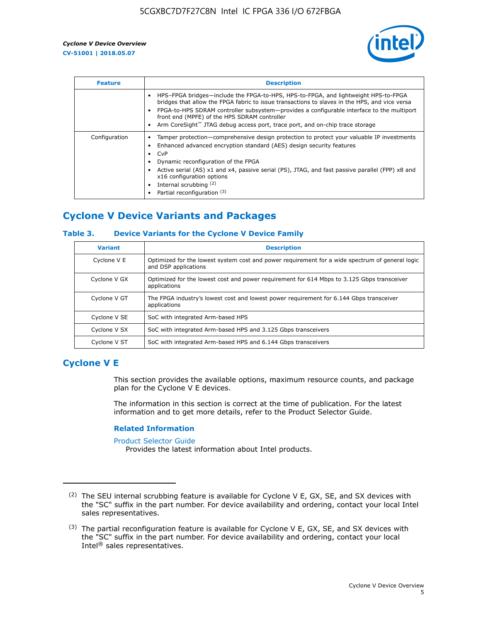

| <b>Feature</b> | <b>Description</b>                                                                                                                                                                                                                                                                                                                                                                                                           |
|----------------|------------------------------------------------------------------------------------------------------------------------------------------------------------------------------------------------------------------------------------------------------------------------------------------------------------------------------------------------------------------------------------------------------------------------------|
|                | HPS-FPGA bridges—include the FPGA-to-HPS, HPS-to-FPGA, and lightweight HPS-to-FPGA<br>bridges that allow the FPGA fabric to issue transactions to slaves in the HPS, and vice versa<br>FPGA-to-HPS SDRAM controller subsystem—provides a configurable interface to the multiport<br>front end (MPFE) of the HPS SDRAM controller<br>Arm CoreSight <sup>™</sup> JTAG debug access port, trace port, and on-chip trace storage |
| Configuration  | Tamper protection—comprehensive design protection to protect your valuable IP investments<br>Enhanced advanced encryption standard (AES) design security features<br>CvP<br>Dynamic reconfiguration of the FPGA<br>Active serial (AS) x1 and x4, passive serial (PS), JTAG, and fast passive parallel (FPP) x8 and<br>x16 configuration options<br>Internal scrubbing (2)<br>Partial reconfiguration (3)                     |

### **Cyclone V Device Variants and Packages**

### **Table 3. Device Variants for the Cyclone V Device Family**

| <b>Variant</b> | <b>Description</b>                                                                                                      |
|----------------|-------------------------------------------------------------------------------------------------------------------------|
| Cyclone V E    | Optimized for the lowest system cost and power requirement for a wide spectrum of general logic<br>and DSP applications |
| Cyclone V GX   | Optimized for the lowest cost and power requirement for 614 Mbps to 3.125 Gbps transceiver<br>applications              |
| Cyclone V GT   | The FPGA industry's lowest cost and lowest power requirement for 6.144 Gbps transceiver<br>applications                 |
| Cyclone V SE   | SoC with integrated Arm-based HPS                                                                                       |
| Cyclone V SX   | SoC with integrated Arm-based HPS and 3.125 Gbps transceivers                                                           |
| Cyclone V ST   | SoC with integrated Arm-based HPS and 6.144 Gbps transceivers                                                           |

### **Cyclone V E**

This section provides the available options, maximum resource counts, and package plan for the Cyclone V E devices.

The information in this section is correct at the time of publication. For the latest information and to get more details, refer to the Product Selector Guide.

#### **Related Information**

[Product Selector Guide](https://www.altera.com/products/product-selector-guide.html)

Provides the latest information about Intel products.

<sup>(2)</sup> The SEU internal scrubbing feature is available for Cyclone V E, GX, SE, and SX devices with the "SC" suffix in the part number. For device availability and ordering, contact your local Intel sales representatives.

 $(3)$  The partial reconfiguration feature is available for Cyclone V E, GX, SE, and SX devices with the "SC" suffix in the part number. For device availability and ordering, contact your local Intel® sales representatives.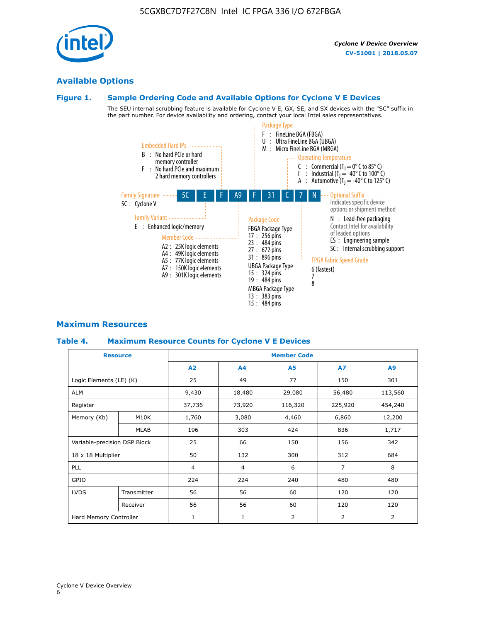### **Available Options**

### **Figure 1. Sample Ordering Code and Available Options for Cyclone V E Devices**

The SEU internal scrubbing feature is available for Cyclone V E, GX, SE, and SX devices with the "SC" suffix in the part number. For device availability and ordering, contact your local Intel sales representatives.



### **Maximum Resources**

### **Table 4. Maximum Resource Counts for Cyclone V E Devices**

| <b>Resource</b>              |             | <b>Member Code</b> |              |                |                |         |  |  |
|------------------------------|-------------|--------------------|--------------|----------------|----------------|---------|--|--|
|                              |             | A2                 | A4           | <b>A5</b>      | <b>A7</b>      | A9      |  |  |
| Logic Elements (LE) (K)      |             | 25                 | 49           | 77             | 150            | 301     |  |  |
| <b>ALM</b>                   |             | 9,430              | 18,480       | 29,080         | 56,480         | 113,560 |  |  |
| Register                     |             |                    | 73,920       | 116,320        | 225,920        | 454,240 |  |  |
| Memory (Kb)                  | M10K        | 1,760              | 3,080        | 4,460          | 6,860          | 12,200  |  |  |
|                              | <b>MLAB</b> | 196                | 303          | 424            | 836            | 1,717   |  |  |
| Variable-precision DSP Block |             | 25                 | 66           | 150            | 156            | 342     |  |  |
| 18 x 18 Multiplier           |             | 50                 | 132          | 300            | 312            | 684     |  |  |
| PLL                          |             | $\overline{4}$     | 4            | 6              | $\overline{7}$ | 8       |  |  |
| GPIO                         |             | 224                | 224          | 240            | 480            | 480     |  |  |
| <b>LVDS</b>                  | Transmitter | 56                 | 56           | 60             | 120            | 120     |  |  |
|                              | Receiver    | 56                 | 56           | 60             | 120            | 120     |  |  |
| Hard Memory Controller       |             | $\mathbf{1}$       | $\mathbf{1}$ | $\overline{2}$ | $\overline{2}$ | 2       |  |  |

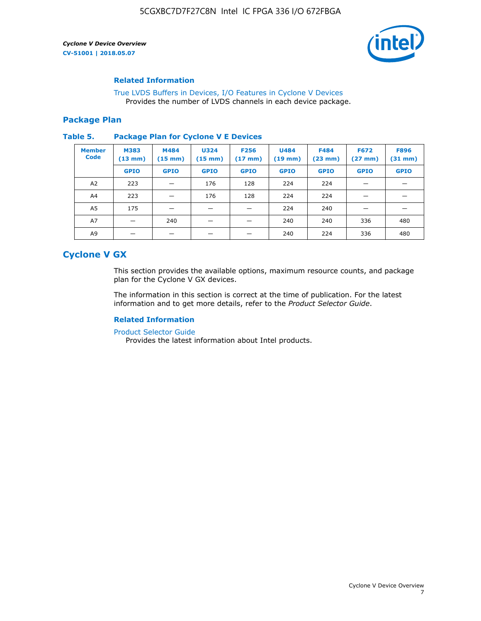

### **Related Information**

[True LVDS Buffers in Devices, I/O Features in Cyclone V Devices](https://www.altera.com/documentation/sam1403481100977.html#sam1403480885395) Provides the number of LVDS channels in each device package.

### **Package Plan**

#### **Table 5. Package Plan for Cyclone V E Devices**

| <b>Member</b><br><b>Code</b> | <b>M383</b><br>$(13 \text{ mm})$ | M484<br>$(15 \text{ mm})$ | <b>U324</b><br>$(15 \text{ mm})$ | <b>F256</b><br>$(17 \text{ mm})$ | <b>U484</b><br>$(19$ mm) | <b>F484</b><br>$(23$ mm $)$ | <b>F672</b><br>$(27 \, \text{mm})$ | <b>F896</b><br>$(31 \text{ mm})$ |
|------------------------------|----------------------------------|---------------------------|----------------------------------|----------------------------------|--------------------------|-----------------------------|------------------------------------|----------------------------------|
|                              | <b>GPIO</b>                      | <b>GPIO</b>               | <b>GPIO</b>                      | <b>GPIO</b>                      | <b>GPIO</b>              | <b>GPIO</b>                 | <b>GPIO</b>                        | <b>GPIO</b>                      |
| A2                           | 223                              |                           | 176                              | 128                              | 224                      | 224                         | –                                  |                                  |
| A4                           | 223                              |                           | 176                              | 128                              | 224                      | 224                         |                                    |                                  |
| A5                           | 175                              |                           |                                  |                                  | 224                      | 240                         |                                    |                                  |
| A7                           |                                  | 240                       |                                  |                                  | 240                      | 240                         | 336                                | 480                              |
| A9                           |                                  |                           |                                  |                                  | 240                      | 224                         | 336                                | 480                              |

### **Cyclone V GX**

This section provides the available options, maximum resource counts, and package plan for the Cyclone V GX devices.

The information in this section is correct at the time of publication. For the latest information and to get more details, refer to the *Product Selector Guide*.

### **Related Information**

[Product Selector Guide](https://www.altera.com/products/product-selector-guide.html)

Provides the latest information about Intel products.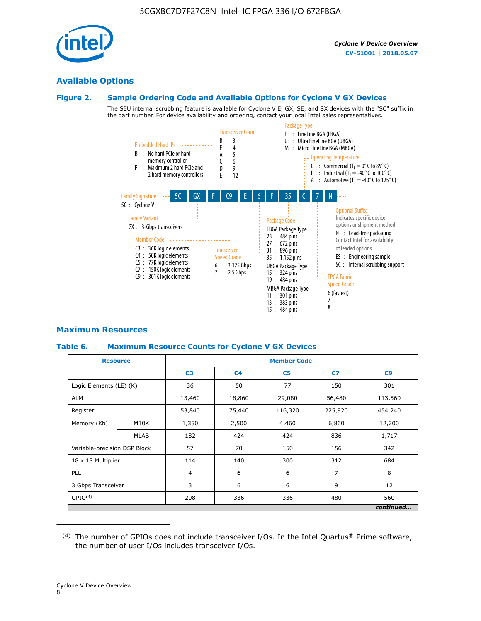

### **Available Options**

#### **Figure 2. Sample Ordering Code and Available Options for Cyclone V GX Devices**

The SEU internal scrubbing feature is available for Cyclone V E, GX, SE, and SX devices with the "SC" suffix in the part number. For device availability and ordering, contact your local Intel sales representatives.



### **Maximum Resources**

### **Table 6. Maximum Resource Counts for Cyclone V GX Devices**

|                              | <b>Resource</b> | <b>Member Code</b> |                |                |                |           |  |  |
|------------------------------|-----------------|--------------------|----------------|----------------|----------------|-----------|--|--|
|                              |                 | C <sub>3</sub>     | C <sub>4</sub> | C <sub>5</sub> | C7             | C9        |  |  |
| Logic Elements (LE) (K)      |                 | 36                 | 50             | 77             | 150            | 301       |  |  |
| <b>ALM</b>                   |                 | 13,460             | 18,860         | 29,080         | 56,480         | 113,560   |  |  |
| Register                     |                 | 53,840             | 75,440         | 116,320        | 225,920        | 454,240   |  |  |
| Memory (Kb)                  | M10K            | 1,350              | 2,500          | 4,460          | 6,860          | 12,200    |  |  |
|                              | <b>MLAB</b>     | 182                | 424            | 424            | 836            | 1,717     |  |  |
| Variable-precision DSP Block |                 | 57                 | 70             | 150            | 156            | 342       |  |  |
| 18 x 18 Multiplier           |                 | 114                | 140            | 300            | 312            | 684       |  |  |
| PLL                          |                 | $\overline{4}$     | 6              | 6              | $\overline{7}$ | 8         |  |  |
| 3 Gbps Transceiver           |                 | 3                  | 6              | 6              | 9              | 12        |  |  |
| GPIO <sup>(4)</sup>          |                 | 208                | 336            | 336            | 480            | 560       |  |  |
|                              |                 |                    |                |                |                | continued |  |  |

 $(4)$  The number of GPIOs does not include transceiver I/Os. In the Intel Quartus® Prime software, the number of user I/Os includes transceiver I/Os.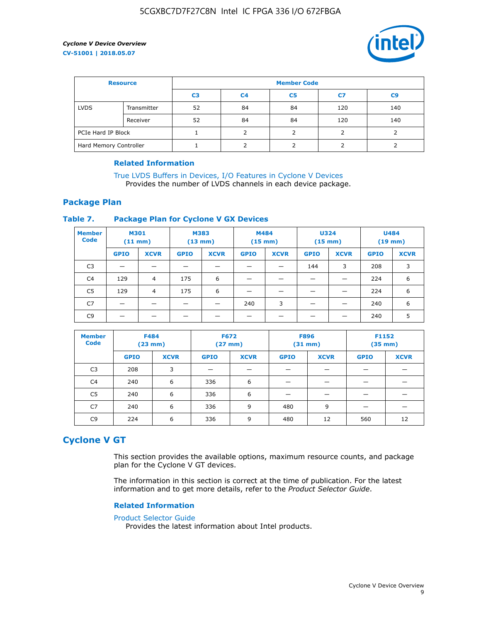

| <b>Resource</b>        |             | <b>Member Code</b> |                |                |     |                |  |  |
|------------------------|-------------|--------------------|----------------|----------------|-----|----------------|--|--|
|                        |             | C <sub>3</sub>     | C <sub>4</sub> | C <sub>5</sub> | C7  | C <sub>9</sub> |  |  |
| <b>LVDS</b>            | Transmitter | 52                 | 84             | 84             | 120 | 140            |  |  |
|                        | Receiver    | 52                 | 84             | 84             | 120 | 140            |  |  |
| PCIe Hard IP Block     |             |                    |                |                |     |                |  |  |
| Hard Memory Controller |             |                    | h              |                |     |                |  |  |

### **Related Information**

[True LVDS Buffers in Devices, I/O Features in Cyclone V Devices](https://www.altera.com/documentation/sam1403481100977.html#sam1403480885395) Provides the number of LVDS channels in each device package.

### **Package Plan**

### **Table 7. Package Plan for Cyclone V GX Devices**

| <b>Member</b><br><b>Code</b> | <b>M301</b><br>$(11$ mm) |                | <b>M383</b><br>$(13 \text{ mm})$ |             | M484        | $(15 \text{ mm})$ | <b>U324</b><br>$(15 \text{ mm})$ |             | <b>U484</b><br>$(19$ mm) |             |
|------------------------------|--------------------------|----------------|----------------------------------|-------------|-------------|-------------------|----------------------------------|-------------|--------------------------|-------------|
|                              | <b>GPIO</b>              | <b>XCVR</b>    | <b>GPIO</b>                      | <b>XCVR</b> | <b>GPIO</b> | <b>XCVR</b>       | <b>GPIO</b>                      | <b>XCVR</b> | <b>GPIO</b>              | <b>XCVR</b> |
| C <sub>3</sub>               |                          |                |                                  |             |             |                   | 144                              | 3           | 208                      | 3           |
| C <sub>4</sub>               | 129                      | $\overline{4}$ | 175                              | 6           |             |                   | –                                |             | 224                      | 6           |
| C5                           | 129                      | 4              | 175                              | 6           |             |                   |                                  |             | 224                      | 6           |
| C7                           | _                        |                |                                  |             | 240         | 3                 |                                  |             | 240                      | 6           |
| C9                           |                          |                |                                  |             |             |                   |                                  |             | 240                      | 5           |

| <b>Member</b><br><b>Code</b> | <b>F484</b> | $(23$ mm)   | <b>F672</b> | $(27$ mm $)$ | <b>F896</b><br>$(31 \text{ mm})$ |             | F1152<br>$(35 \text{ mm})$ |             |
|------------------------------|-------------|-------------|-------------|--------------|----------------------------------|-------------|----------------------------|-------------|
|                              | <b>GPIO</b> | <b>XCVR</b> | <b>GPIO</b> | <b>XCVR</b>  | <b>GPIO</b>                      | <b>XCVR</b> | <b>GPIO</b>                | <b>XCVR</b> |
| C <sub>3</sub>               | 208         | 3           |             |              |                                  |             |                            |             |
| C4                           | 240         | 6           | 336         | 6            |                                  |             |                            |             |
| C5                           | 240         | 6           | 336         | 6            |                                  |             |                            |             |
| C7                           | 240         | 6           | 336         | 9            | 480                              | 9           |                            |             |
| C9                           | 224         | 6           | 336         | 9            | 480                              | 12          | 560                        | 12          |

### **Cyclone V GT**

This section provides the available options, maximum resource counts, and package plan for the Cyclone V GT devices.

The information in this section is correct at the time of publication. For the latest information and to get more details, refer to the *Product Selector Guide*.

#### **Related Information**

#### [Product Selector Guide](https://www.altera.com/products/product-selector-guide.html)

Provides the latest information about Intel products.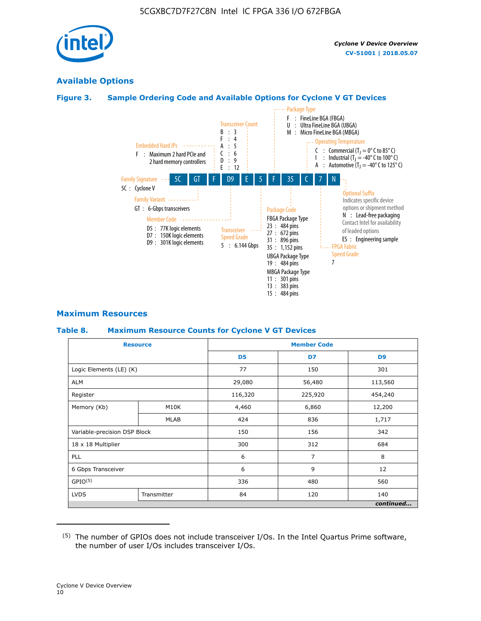

### **Available Options**

### **Figure 3. Sample Ordering Code and Available Options for Cyclone V GT Devices**



### **Maximum Resources**

#### **Table 8. Maximum Resource Counts for Cyclone V GT Devices**

|                              | <b>Resource</b> | <b>Member Code</b> |         |                |  |  |
|------------------------------|-----------------|--------------------|---------|----------------|--|--|
|                              |                 | D <sub>5</sub>     | D7      | D <sub>9</sub> |  |  |
| Logic Elements (LE) (K)      |                 | 77                 | 150     | 301            |  |  |
| <b>ALM</b>                   |                 | 29,080             | 56,480  | 113,560        |  |  |
| Register                     |                 | 116,320            | 225,920 | 454,240        |  |  |
| Memory (Kb)                  | M10K            | 4,460              | 6,860   | 12,200         |  |  |
|                              | <b>MLAB</b>     | 424                | 836     | 1,717          |  |  |
| Variable-precision DSP Block |                 | 150                | 156     | 342            |  |  |
| 18 x 18 Multiplier           |                 | 300                | 312     | 684            |  |  |
| PLL                          |                 | 6                  | 7       | 8              |  |  |
| 6 Gbps Transceiver           |                 | 6                  | 9       | 12             |  |  |
| GPIO <sup>(5)</sup>          |                 | 336                | 480     | 560            |  |  |
| <b>LVDS</b>                  | Transmitter     | 84                 | 120     | 140            |  |  |
|                              |                 |                    |         | continued      |  |  |

<sup>(5)</sup> The number of GPIOs does not include transceiver I/Os. In the Intel Quartus Prime software, the number of user I/Os includes transceiver I/Os.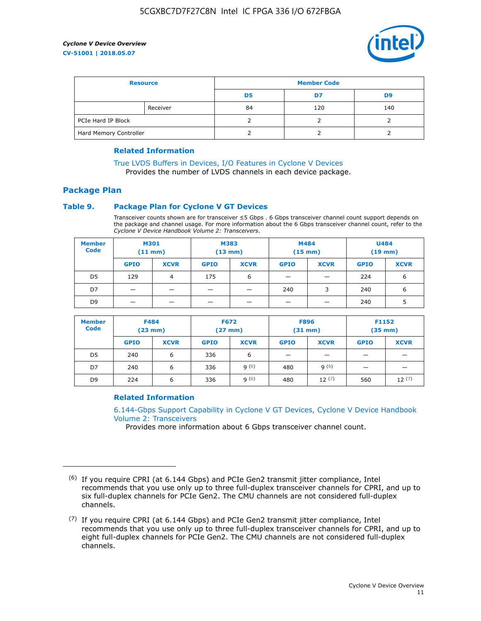

| <b>Resource</b>        |          | <b>Member Code</b> |     |     |  |  |
|------------------------|----------|--------------------|-----|-----|--|--|
|                        |          | D5                 | D7  | D9  |  |  |
|                        | Receiver | 84                 | 120 | 140 |  |  |
| PCIe Hard IP Block     |          |                    |     |     |  |  |
| Hard Memory Controller |          |                    |     |     |  |  |

### **Related Information**

[True LVDS Buffers in Devices, I/O Features in Cyclone V Devices](https://www.altera.com/documentation/sam1403481100977.html#sam1403480885395) Provides the number of LVDS channels in each device package.

### **Package Plan**

### **Table 9. Package Plan for Cyclone V GT Devices**

Transceiver counts shown are for transceiver ≤5 Gbps . 6 Gbps transceiver channel count support depends on the package and channel usage. For more information about the 6 Gbps transceiver channel count, refer to the *Cyclone V Device Handbook Volume 2: Transceivers*.

| <b>Member</b><br><b>Code</b> | <b>M301</b><br>(11 mm) |             | M383<br>(13 mm) |             | M484<br>$(15 \text{ mm})$ |             | <b>U484</b><br>$(19$ mm) |             |
|------------------------------|------------------------|-------------|-----------------|-------------|---------------------------|-------------|--------------------------|-------------|
|                              | <b>GPIO</b>            | <b>XCVR</b> | <b>GPIO</b>     | <b>XCVR</b> | <b>GPIO</b>               | <b>XCVR</b> | <b>GPIO</b>              | <b>XCVR</b> |
| D5                           | 129                    | 4           | 175             | 6           | -                         |             | 224                      | 6           |
| D7                           |                        |             |                 |             | 240                       | 3           | 240                      | 6           |
| D <sub>9</sub>               | -                      |             |                 |             | _                         |             | 240                      | 5           |

| <b>Member</b><br><b>Code</b> | <b>F484</b><br>$(23$ mm $)$ |             | <b>F672</b><br>$(27 \text{ mm})$ |             | <b>F896</b><br>$(31$ mm $)$ |             | F1152<br>$(35$ mm $)$ |             |
|------------------------------|-----------------------------|-------------|----------------------------------|-------------|-----------------------------|-------------|-----------------------|-------------|
|                              | <b>GPIO</b>                 | <b>XCVR</b> | <b>GPIO</b>                      | <b>XCVR</b> | <b>GPIO</b>                 | <b>XCVR</b> | <b>GPIO</b>           | <b>XCVR</b> |
| D <sub>5</sub>               | 240                         | 6           | 336                              | 6           | -                           |             |                       |             |
| D7                           | 240                         | 6           | 336                              | q(6)        | 480                         | q(6)        | -                     | _           |
| D <sub>9</sub>               | 224                         | 6           | 336                              | q(6)        | 480                         | 12(7)       | 560                   | 12(7)       |

### **Related Information**

[6.144-Gbps Support Capability in Cyclone V GT Devices, Cyclone V Device Handbook](https://www.altera.com/documentation/nik1409855456781.html#nik1409855410757) [Volume 2: Transceivers](https://www.altera.com/documentation/nik1409855456781.html#nik1409855410757)

Provides more information about 6 Gbps transceiver channel count.

<sup>(6)</sup> If you require CPRI (at 6.144 Gbps) and PCIe Gen2 transmit jitter compliance, Intel recommends that you use only up to three full-duplex transceiver channels for CPRI, and up to six full-duplex channels for PCIe Gen2. The CMU channels are not considered full-duplex channels.

 $(7)$  If you require CPRI (at 6.144 Gbps) and PCIe Gen2 transmit jitter compliance, Intel recommends that you use only up to three full-duplex transceiver channels for CPRI, and up to eight full-duplex channels for PCIe Gen2. The CMU channels are not considered full-duplex channels.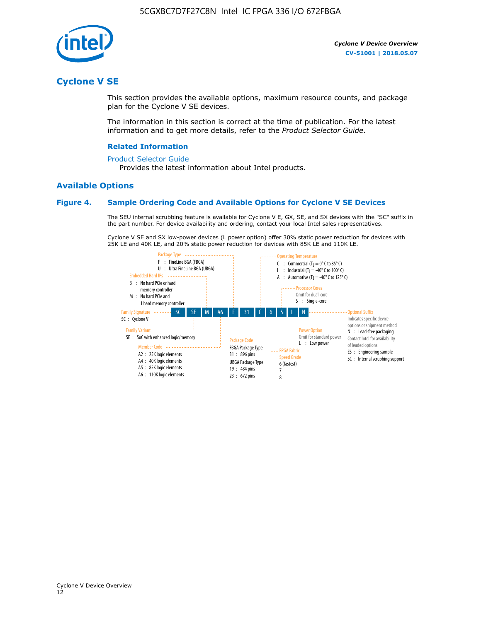

### **Cyclone V SE**

This section provides the available options, maximum resource counts, and package plan for the Cyclone V SE devices.

The information in this section is correct at the time of publication. For the latest information and to get more details, refer to the *Product Selector Guide*.

#### **Related Information**

#### [Product Selector Guide](https://www.altera.com/products/product-selector-guide.html)

Provides the latest information about Intel products.

### **Available Options**

### **Figure 4. Sample Ordering Code and Available Options for Cyclone V SE Devices**

The SEU internal scrubbing feature is available for Cyclone V E, GX, SE, and SX devices with the "SC" suffix in the part number. For device availability and ordering, contact your local Intel sales representatives.

Cyclone V SE and SX low-power devices (L power option) offer 30% static power reduction for devices with 25K LE and 40K LE, and 20% static power reduction for devices with 85K LE and 110K LE.

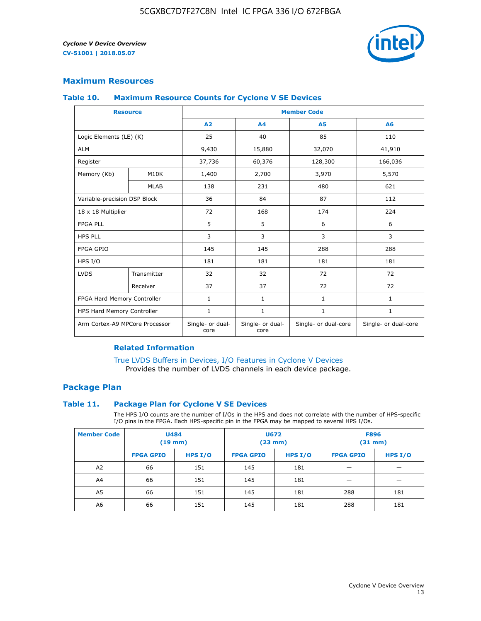

### **Maximum Resources**

#### **Table 10. Maximum Resource Counts for Cyclone V SE Devices**

|                                | <b>Resource</b> | <b>Member Code</b>       |                          |                      |                      |  |
|--------------------------------|-----------------|--------------------------|--------------------------|----------------------|----------------------|--|
|                                |                 | A <sub>2</sub>           | A <sub>4</sub>           | <b>A5</b>            | A6                   |  |
| Logic Elements (LE) (K)        |                 | 25                       | 40                       | 85                   | 110                  |  |
| <b>ALM</b>                     |                 | 9,430                    | 15,880                   | 32,070               | 41,910               |  |
| Register                       |                 | 37,736                   | 60,376                   | 128,300              | 166,036              |  |
| Memory (Kb)                    | M10K            | 1,400                    | 2,700                    | 3,970                | 5,570                |  |
|                                | <b>MLAB</b>     | 138                      | 231                      | 480                  | 621                  |  |
| Variable-precision DSP Block   |                 | 36                       | 84                       | 87                   | 112                  |  |
| 18 x 18 Multiplier             |                 | 72                       | 168                      | 174                  | 224                  |  |
| <b>FPGA PLL</b>                |                 | 5                        | 5                        | 6                    | 6                    |  |
| <b>HPS PLL</b>                 |                 | 3                        | 3                        | 3                    | 3                    |  |
| <b>FPGA GPIO</b>               |                 | 145                      | 145                      | 288                  | 288                  |  |
| HPS I/O                        |                 | 181                      | 181                      | 181                  | 181                  |  |
| <b>LVDS</b>                    | Transmitter     | 32                       | 32                       | 72                   | 72                   |  |
|                                | Receiver        | 37                       | 37                       | 72                   | 72                   |  |
| FPGA Hard Memory Controller    |                 | 1                        | $\mathbf{1}$             | $\mathbf{1}$         | $\mathbf{1}$         |  |
| HPS Hard Memory Controller     |                 | $\mathbf{1}$             | $\mathbf{1}$             | $\mathbf{1}$         | $\mathbf{1}$         |  |
| Arm Cortex-A9 MPCore Processor |                 | Single- or dual-<br>core | Single- or dual-<br>core | Single- or dual-core | Single- or dual-core |  |

### **Related Information**

[True LVDS Buffers in Devices, I/O Features in Cyclone V Devices](https://www.altera.com/documentation/sam1403481100977.html#sam1403480885395) Provides the number of LVDS channels in each device package.

### **Package Plan**

#### **Table 11. Package Plan for Cyclone V SE Devices**

The HPS I/O counts are the number of I/Os in the HPS and does not correlate with the number of HPS-specific I/O pins in the FPGA. Each HPS-specific pin in the FPGA may be mapped to several HPS I/Os.

| <b>Member Code</b> | <b>U484</b><br>$(19$ mm) |           | U672<br>(23 mm)  |         | <b>F896</b><br>$(31$ mm $)$ |           |
|--------------------|--------------------------|-----------|------------------|---------|-----------------------------|-----------|
|                    | <b>FPGA GPIO</b>         | HPS $I/O$ | <b>FPGA GPIO</b> | HPS I/O | <b>FPGA GPIO</b>            | HPS $I/O$ |
| A <sub>2</sub>     | 66                       | 151       | 145              | 181     |                             |           |
| A4                 | 66                       | 151       | 145              | 181     |                             |           |
| A <sub>5</sub>     | 66                       | 151       | 145              | 181     | 288                         | 181       |
| A6                 | 66                       | 151       | 145              | 181     | 288                         | 181       |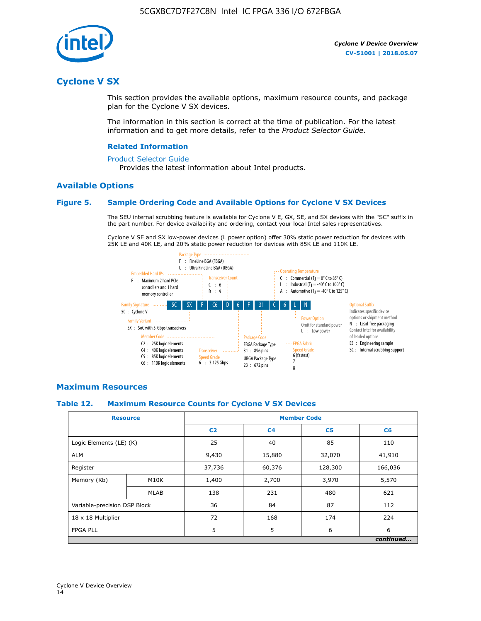

### **Cyclone V SX**

This section provides the available options, maximum resource counts, and package plan for the Cyclone V SX devices.

The information in this section is correct at the time of publication. For the latest information and to get more details, refer to the *Product Selector Guide*.

#### **Related Information**

#### [Product Selector Guide](https://www.altera.com/products/product-selector-guide.html)

Provides the latest information about Intel products.

### **Available Options**

### **Figure 5. Sample Ordering Code and Available Options for Cyclone V SX Devices**

The SEU internal scrubbing feature is available for Cyclone V E, GX, SE, and SX devices with the "SC" suffix in the part number. For device availability and ordering, contact your local Intel sales representatives.

Cyclone V SE and SX low-power devices (L power option) offer 30% static power reduction for devices with 25K LE and 40K LE, and 20% static power reduction for devices with 85K LE and 110K LE.



### **Maximum Resources**

#### **Table 12. Maximum Resource Counts for Cyclone V SX Devices**

|                              | <b>Resource</b> | <b>Member Code</b> |                |                |           |  |
|------------------------------|-----------------|--------------------|----------------|----------------|-----------|--|
|                              |                 | C <sub>2</sub>     | C <sub>4</sub> | C <sub>5</sub> | C6        |  |
| Logic Elements (LE) (K)      |                 | 25                 | 40             | 85             | 110       |  |
| <b>ALM</b>                   |                 | 9,430              | 15,880         | 32,070         | 41,910    |  |
| Register                     |                 | 37,736             | 60,376         | 128,300        | 166,036   |  |
| Memory (Kb)                  | M10K            | 1,400              | 2,700          | 3,970          | 5,570     |  |
|                              | <b>MLAB</b>     | 138                | 231            | 480            | 621       |  |
| Variable-precision DSP Block |                 | 36                 | 84             | 87             | 112       |  |
| 18 x 18 Multiplier           |                 | 72                 | 168            | 174            | 224       |  |
| <b>FPGA PLL</b>              |                 | 5                  | 5              | 6              | 6         |  |
|                              |                 |                    |                |                | continued |  |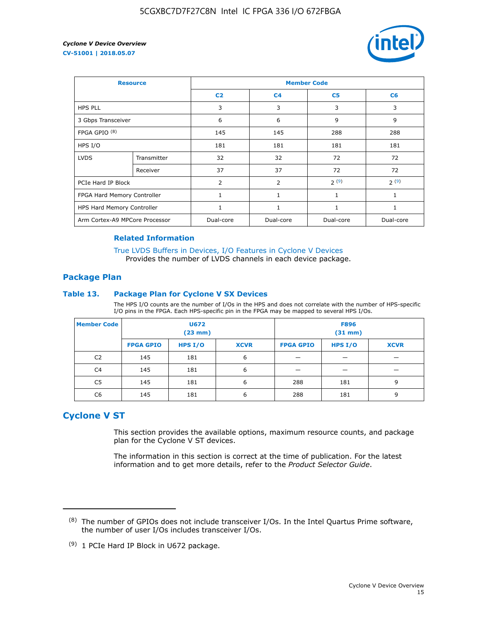

| <b>Resource</b>                |             | <b>Member Code</b> |                |                |                |  |  |
|--------------------------------|-------------|--------------------|----------------|----------------|----------------|--|--|
|                                |             | C <sub>2</sub>     | C <sub>4</sub> | C <sub>5</sub> | C <sub>6</sub> |  |  |
| <b>HPS PLL</b>                 |             | 3                  | 3              | 3              | 3              |  |  |
| 3 Gbps Transceiver             |             | 6                  | 6              | 9              | 9              |  |  |
| FPGA GPIO <sup>(8)</sup>       |             | 145                | 145            | 288            | 288            |  |  |
| HPS I/O                        |             | 181                | 181            | 181            | 181            |  |  |
| <b>LVDS</b>                    | Transmitter | 32                 | 32             | 72             | 72             |  |  |
|                                | Receiver    | 37                 | 37             | 72             | 72             |  |  |
| PCIe Hard IP Block             |             | $\overline{2}$     | 2              | 2(9)           | 2(9)           |  |  |
| FPGA Hard Memory Controller    |             | 1                  | $\mathbf{1}$   | $\mathbf{1}$   | $\mathbf{1}$   |  |  |
| HPS Hard Memory Controller     |             |                    | $\mathbf{1}$   | 1              | 1              |  |  |
| Arm Cortex-A9 MPCore Processor |             | Dual-core          | Dual-core      | Dual-core      | Dual-core      |  |  |

### **Related Information**

[True LVDS Buffers in Devices, I/O Features in Cyclone V Devices](https://www.altera.com/documentation/sam1403481100977.html#sam1403480885395) Provides the number of LVDS channels in each device package.

### **Package Plan**

#### **Table 13. Package Plan for Cyclone V SX Devices**

The HPS I/O counts are the number of I/Os in the HPS and does not correlate with the number of HPS-specific I/O pins in the FPGA. Each HPS-specific pin in the FPGA may be mapped to several HPS I/Os.

| <b>Member Code</b> | U672<br>(23 mm)  |           | <b>F896</b><br>$(31$ mm $)$ |                  |         |             |
|--------------------|------------------|-----------|-----------------------------|------------------|---------|-------------|
|                    | <b>FPGA GPIO</b> | HPS $I/O$ | <b>XCVR</b>                 | <b>FPGA GPIO</b> | HPS I/O | <b>XCVR</b> |
| C <sub>2</sub>     | 145              | 181       | 6                           |                  |         |             |
| C4                 | 145              | 181       | 6                           |                  |         |             |
| C <sub>5</sub>     | 145              | 181       | 6                           | 288              | 181     | 9           |
| C6                 | 145              | 181       | 6                           | 288              | 181     | 9           |

### **Cyclone V ST**

This section provides the available options, maximum resource counts, and package plan for the Cyclone V ST devices.

The information in this section is correct at the time of publication. For the latest information and to get more details, refer to the *Product Selector Guide*.

 $(8)$  The number of GPIOs does not include transceiver I/Os. In the Intel Quartus Prime software, the number of user I/Os includes transceiver I/Os.

<sup>(9)</sup> 1 PCIe Hard IP Block in U672 package.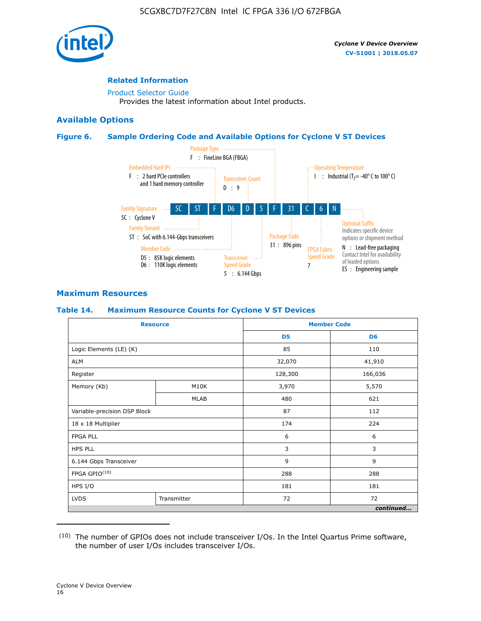

### **Related Information**

[Product Selector Guide](https://www.altera.com/products/product-selector-guide.html) Provides the latest information about Intel products.

### **Available Options**

### **Figure 6. Sample Ordering Code and Available Options for Cyclone V ST Devices**



### **Maximum Resources**

### **Table 14. Maximum Resource Counts for Cyclone V ST Devices**

| <b>Resource</b>              |             |                | <b>Member Code</b> |
|------------------------------|-------------|----------------|--------------------|
|                              |             | D <sub>5</sub> | D <sub>6</sub>     |
| Logic Elements (LE) (K)      |             | 85             | 110                |
| <b>ALM</b>                   |             | 32,070         | 41,910             |
| Register                     |             | 128,300        | 166,036            |
| Memory (Kb)                  | M10K        | 3,970          | 5,570              |
|                              | <b>MLAB</b> | 480            | 621                |
| Variable-precision DSP Block |             | 87             | 112                |
| 18 x 18 Multiplier           |             | 174            | 224                |
| <b>FPGA PLL</b>              |             | 6              | 6                  |
| <b>HPS PLL</b>               |             | 3              | 3                  |
| 6.144 Gbps Transceiver       |             | 9              | 9                  |
| FPGA GPIO(10)                |             | 288            | 288                |
| HPS I/O                      |             | 181            | 181                |
| <b>LVDS</b><br>Transmitter   |             | 72             | 72                 |
|                              |             |                | continued          |

<sup>(10)</sup> The number of GPIOs does not include transceiver I/Os. In the Intel Quartus Prime software, the number of user I/Os includes transceiver I/Os.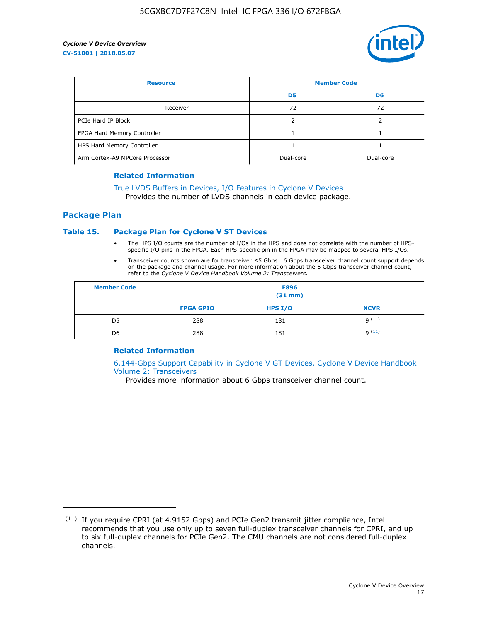

| <b>Resource</b>                |          | <b>Member Code</b> |                |  |
|--------------------------------|----------|--------------------|----------------|--|
|                                |          | D <sub>5</sub>     | D <sub>6</sub> |  |
|                                | Receiver | 72                 | 72             |  |
| PCIe Hard IP Block             |          |                    |                |  |
| FPGA Hard Memory Controller    |          |                    |                |  |
| HPS Hard Memory Controller     |          |                    |                |  |
| Arm Cortex-A9 MPCore Processor |          | Dual-core          | Dual-core      |  |

#### **Related Information**

### [True LVDS Buffers in Devices, I/O Features in Cyclone V Devices](https://www.altera.com/documentation/sam1403481100977.html#sam1403480885395)

Provides the number of LVDS channels in each device package.

### **Package Plan**

### **Table 15. Package Plan for Cyclone V ST Devices**

- The HPS I/O counts are the number of I/Os in the HPS and does not correlate with the number of HPSspecific I/O pins in the FPGA. Each HPS-specific pin in the FPGA may be mapped to several HPS I/Os.
- Transceiver counts shown are for transceiver ≤5 Gbps . 6 Gbps transceiver channel count support depends on the package and channel usage. For more information about the 6 Gbps transceiver channel count, refer to the *Cyclone V Device Handbook Volume 2: Transceivers*.

| <b>Member Code</b> | <b>F896</b><br>$(31$ mm $)$ |           |             |  |  |
|--------------------|-----------------------------|-----------|-------------|--|--|
|                    | <b>FPGA GPIO</b>            | HPS $I/O$ | <b>XCVR</b> |  |  |
| D <sub>5</sub>     | 288                         | 181       | 9(11)       |  |  |
| D <sub>6</sub>     | 288                         | 181       | q(11)       |  |  |

### **Related Information**

[6.144-Gbps Support Capability in Cyclone V GT Devices, Cyclone V Device Handbook](https://www.altera.com/documentation/nik1409855456781.html#nik1409855410757) [Volume 2: Transceivers](https://www.altera.com/documentation/nik1409855456781.html#nik1409855410757)

Provides more information about 6 Gbps transceiver channel count.

<sup>(11)</sup> If you require CPRI (at 4.9152 Gbps) and PCIe Gen2 transmit jitter compliance, Intel recommends that you use only up to seven full-duplex transceiver channels for CPRI, and up to six full-duplex channels for PCIe Gen2. The CMU channels are not considered full-duplex channels.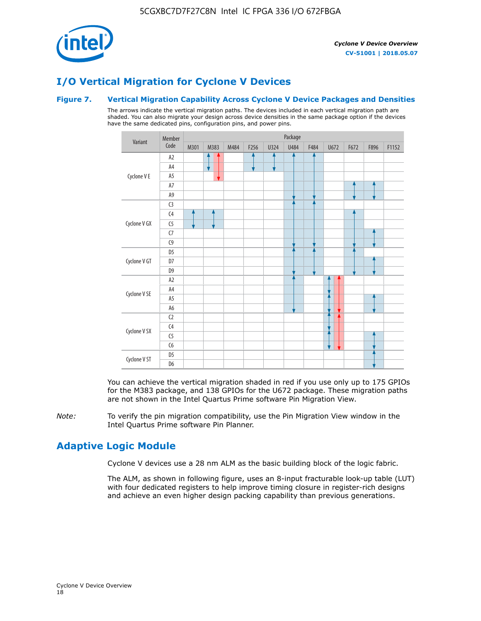

### **I/O Vertical Migration for Cyclone V Devices**

### **Figure 7. Vertical Migration Capability Across Cyclone V Device Packages and Densities**

The arrows indicate the vertical migration paths. The devices included in each vertical migration path are shaded. You can also migrate your design across device densities in the same package option if the devices have the same dedicated pins, configuration pins, and power pins.



You can achieve the vertical migration shaded in red if you use only up to 175 GPIOs for the M383 package, and 138 GPIOs for the U672 package. These migration paths are not shown in the Intel Quartus Prime software Pin Migration View.

*Note:* To verify the pin migration compatibility, use the Pin Migration View window in the Intel Quartus Prime software Pin Planner.

### **Adaptive Logic Module**

Cyclone V devices use a 28 nm ALM as the basic building block of the logic fabric.

The ALM, as shown in following figure, uses an 8-input fracturable look-up table (LUT) with four dedicated registers to help improve timing closure in register-rich designs and achieve an even higher design packing capability than previous generations.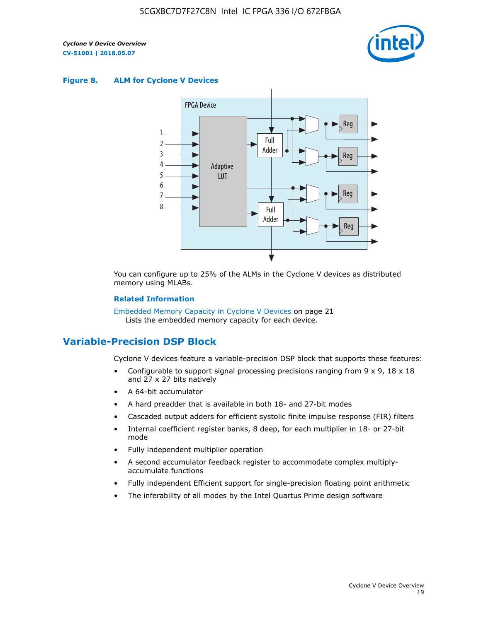

#### **Figure 8. ALM for Cyclone V Devices**



You can configure up to 25% of the ALMs in the Cyclone V devices as distributed memory using MLABs.

#### **Related Information**

Embedded Memory Capacity in Cyclone V Devices on page 21 Lists the embedded memory capacity for each device.

### **Variable-Precision DSP Block**

Cyclone V devices feature a variable-precision DSP block that supports these features:

- Configurable to support signal processing precisions ranging from  $9 \times 9$ ,  $18 \times 18$ and 27 x 27 bits natively
- A 64-bit accumulator
- A hard preadder that is available in both 18- and 27-bit modes
- Cascaded output adders for efficient systolic finite impulse response (FIR) filters
- Internal coefficient register banks, 8 deep, for each multiplier in 18- or 27-bit mode
- Fully independent multiplier operation
- A second accumulator feedback register to accommodate complex multiplyaccumulate functions
- Fully independent Efficient support for single-precision floating point arithmetic
- The inferability of all modes by the Intel Quartus Prime design software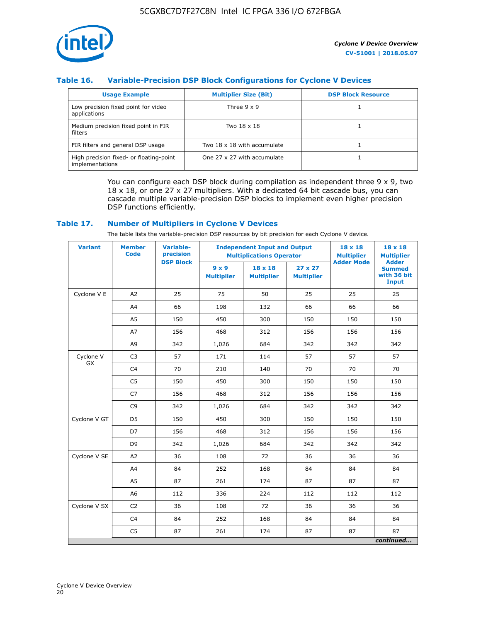

### **Table 16. Variable-Precision DSP Block Configurations for Cyclone V Devices**

| <b>Usage Example</b>                                       | <b>Multiplier Size (Bit)</b> | <b>DSP Block Resource</b> |
|------------------------------------------------------------|------------------------------|---------------------------|
| Low precision fixed point for video<br>applications        | Three $9 \times 9$           |                           |
| Medium precision fixed point in FIR<br>filters             | Two 18 x 18                  |                           |
| FIR filters and general DSP usage                          | Two 18 x 18 with accumulate  |                           |
| High precision fixed- or floating-point<br>implementations | One 27 x 27 with accumulate  |                           |

You can configure each DSP block during compilation as independent three  $9 \times 9$ , two 18 x 18, or one 27 x 27 multipliers. With a dedicated 64 bit cascade bus, you can cascade multiple variable-precision DSP blocks to implement even higher precision DSP functions efficiently.

### **Table 17. Number of Multipliers in Cyclone V Devices**

The table lists the variable-precision DSP resources by bit precision for each Cyclone V device.

| <b>Variant</b>  | <b>Member</b><br><b>Code</b> | <b>Variable-</b><br>precision |                                   | <b>Independent Input and Output</b><br><b>Multiplications Operator</b> | $18 \times 18$<br><b>Multiplier</b> | $18 \times 18$<br><b>Multiplier</b> |                                                              |
|-----------------|------------------------------|-------------------------------|-----------------------------------|------------------------------------------------------------------------|-------------------------------------|-------------------------------------|--------------------------------------------------------------|
|                 |                              | <b>DSP Block</b>              | $9 \times 9$<br><b>Multiplier</b> | $18 \times 18$<br><b>Multiplier</b>                                    | $27 \times 27$<br><b>Multiplier</b> | <b>Adder Mode</b>                   | <b>Adder</b><br><b>Summed</b><br>with 36 bit<br><b>Input</b> |
| Cyclone V E     | A2                           | 25                            | 75                                | 50                                                                     | 25                                  | 25                                  | 25                                                           |
|                 | A4                           | 66                            | 198                               | 132                                                                    | 66                                  | 66                                  | 66                                                           |
|                 | A5                           | 150                           | 450                               | 300                                                                    | 150                                 | 150                                 | 150                                                          |
|                 | A7                           | 156                           | 468                               | 312                                                                    | 156                                 | 156                                 | 156                                                          |
|                 | A9                           | 342                           | 1,026                             | 684                                                                    | 342                                 | 342                                 | 342                                                          |
| Cyclone V<br>GX | C <sub>3</sub>               | 57                            | 171                               | 114                                                                    | 57                                  | 57                                  | 57                                                           |
|                 | C <sub>4</sub>               | 70                            | 210                               | 140                                                                    | 70                                  | 70                                  | 70                                                           |
|                 | C <sub>5</sub>               | 150                           | 450                               | 300                                                                    | 150                                 | 150                                 | 150                                                          |
|                 | C7                           | 156                           | 468                               | 312                                                                    | 156                                 | 156                                 | 156                                                          |
|                 | C <sub>9</sub>               | 342                           | 1,026                             | 684                                                                    | 342                                 | 342                                 | 342                                                          |
| Cyclone V GT    | D <sub>5</sub>               | 150                           | 450                               | 300                                                                    | 150                                 | 150                                 | 150                                                          |
|                 | D7                           | 156                           | 468                               | 312                                                                    | 156                                 | 156                                 | 156                                                          |
|                 | D <sub>9</sub>               | 342                           | 1,026                             | 684                                                                    | 342                                 | 342                                 | 342                                                          |
| Cyclone V SE    | A <sub>2</sub>               | 36                            | 108                               | 72                                                                     | 36                                  | 36                                  | 36                                                           |
|                 | A4                           | 84                            | 252                               | 168                                                                    | 84                                  | 84                                  | 84                                                           |
|                 | A5                           | 87                            | 261                               | 174                                                                    | 87                                  | 87                                  | 87                                                           |
|                 | A <sub>6</sub>               | 112                           | 336                               | 224                                                                    | 112                                 | 112                                 | 112                                                          |
| Cyclone V SX    | C <sub>2</sub>               | 36                            | 108                               | 72                                                                     | 36                                  | 36                                  | 36                                                           |
|                 | C <sub>4</sub>               | 84                            | 252                               | 168                                                                    | 84                                  | 84                                  | 84                                                           |
|                 | C <sub>5</sub>               | 87                            | 261                               | 174                                                                    | 87                                  | 87                                  | 87                                                           |
|                 |                              |                               |                                   |                                                                        |                                     |                                     | continued                                                    |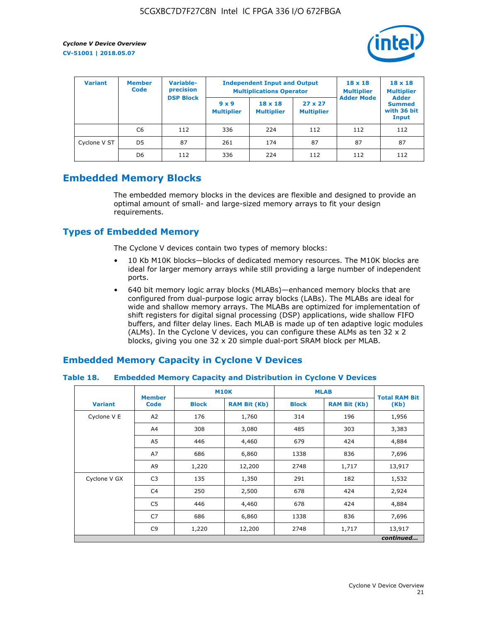

| <b>Variant</b> | <b>Variable-</b><br><b>Member</b><br>precision<br><b>Code</b> |                  | <b>Independent Input and Output</b><br><b>Multiplications Operator</b> | $18 \times 18$<br><b>Multiplier</b> | $18 \times 18$<br><b>Multiplier</b><br><b>Adder</b> |                   |                                       |
|----------------|---------------------------------------------------------------|------------------|------------------------------------------------------------------------|-------------------------------------|-----------------------------------------------------|-------------------|---------------------------------------|
|                |                                                               | <b>DSP Block</b> | $9 \times 9$<br><b>Multiplier</b>                                      | $18 \times 18$<br><b>Multiplier</b> | $27 \times 27$<br><b>Multiplier</b>                 | <b>Adder Mode</b> | <b>Summed</b><br>with 36 bit<br>Input |
|                | C6                                                            | 112              | 336                                                                    | 224                                 | 112                                                 | 112               | 112                                   |
| Cyclone V ST   | D <sub>5</sub>                                                | 87               | 261                                                                    | 174                                 | 87                                                  | 87                | 87                                    |
|                | D <sub>6</sub>                                                | 112              | 336                                                                    | 224                                 | 112                                                 | 112               | 112                                   |

### **Embedded Memory Blocks**

The embedded memory blocks in the devices are flexible and designed to provide an optimal amount of small- and large-sized memory arrays to fit your design requirements.

### **Types of Embedded Memory**

The Cyclone V devices contain two types of memory blocks:

- 10 Kb M10K blocks—blocks of dedicated memory resources. The M10K blocks are ideal for larger memory arrays while still providing a large number of independent ports.
- 640 bit memory logic array blocks (MLABs)—enhanced memory blocks that are configured from dual-purpose logic array blocks (LABs). The MLABs are ideal for wide and shallow memory arrays. The MLABs are optimized for implementation of shift registers for digital signal processing (DSP) applications, wide shallow FIFO buffers, and filter delay lines. Each MLAB is made up of ten adaptive logic modules (ALMs). In the Cyclone V devices, you can configure these ALMs as ten 32 x 2 blocks, giving you one 32 x 20 simple dual-port SRAM block per MLAB.

### **Embedded Memory Capacity in Cyclone V Devices**

### **Table 18. Embedded Memory Capacity and Distribution in Cyclone V Devices**

|                | <b>Member</b>  | <b>M10K</b>  |                     | <b>MLAB</b>  | <b>Total RAM Bit</b> |        |  |  |  |
|----------------|----------------|--------------|---------------------|--------------|----------------------|--------|--|--|--|
| <b>Variant</b> | <b>Code</b>    | <b>Block</b> | <b>RAM Bit (Kb)</b> | <b>Block</b> | <b>RAM Bit (Kb)</b>  | (Kb)   |  |  |  |
| Cyclone V E    | A2             | 176          | 1,760               | 314          | 196                  | 1,956  |  |  |  |
|                | A4             | 308          | 3,080               | 485          | 303                  | 3,383  |  |  |  |
|                | A5             | 446          | 4,460               | 679          | 424                  | 4,884  |  |  |  |
|                | A7             | 686          | 6,860               | 1338         | 836                  | 7,696  |  |  |  |
|                | A9             | 1,220        | 12,200              | 2748         | 1,717                | 13,917 |  |  |  |
| Cyclone V GX   | C <sub>3</sub> | 135          | 1,350               | 291          | 182                  | 1,532  |  |  |  |
|                | C4             | 250          | 2,500               | 678          | 424                  | 2,924  |  |  |  |
|                | C5             | 446          | 4,460               | 678          | 424                  | 4,884  |  |  |  |
|                | C7             | 686          | 6,860               | 1338         | 836                  | 7,696  |  |  |  |
|                | C <sub>9</sub> | 1,220        | 12,200              | 2748         | 1,717                | 13,917 |  |  |  |
|                | continued      |              |                     |              |                      |        |  |  |  |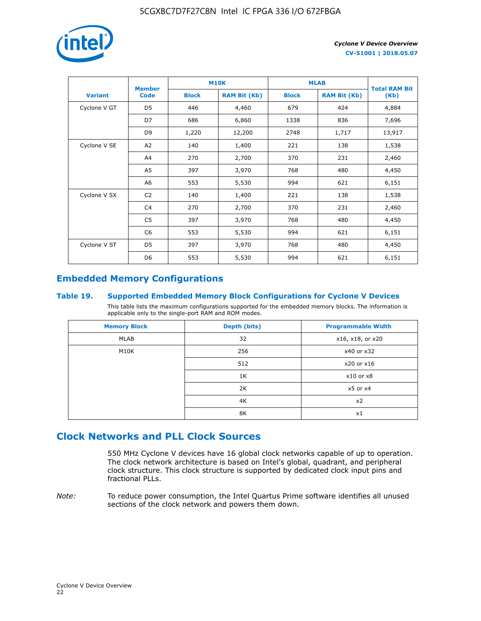

|                | <b>Member</b>  | <b>M10K</b>  |                     | <b>MLAB</b>  | <b>Total RAM Bit</b> |        |  |
|----------------|----------------|--------------|---------------------|--------------|----------------------|--------|--|
| <b>Variant</b> | <b>Code</b>    | <b>Block</b> | <b>RAM Bit (Kb)</b> | <b>Block</b> | <b>RAM Bit (Kb)</b>  | (Kb)   |  |
| Cyclone V GT   | D <sub>5</sub> | 446          | 4,460               | 679          | 424                  | 4,884  |  |
|                | D7             | 686          | 6,860               | 1338         | 836                  | 7,696  |  |
|                | D <sub>9</sub> | 1,220        | 12,200              | 2748         | 1,717                | 13,917 |  |
| Cyclone V SE   | A <sub>2</sub> | 140          | 1,400               | 221          | 138                  | 1,538  |  |
|                | A4             | 270          | 2,700               | 370          | 231                  | 2,460  |  |
|                | A5             | 397          | 3,970               | 768          | 480                  | 4,450  |  |
|                | A6             | 553          | 5,530               | 994          | 621                  | 6,151  |  |
| Cyclone V SX   | C <sub>2</sub> | 140          | 1,400               | 221          | 138                  | 1,538  |  |
|                | C4             | 270          | 2,700               | 370          | 231                  | 2,460  |  |
|                | C5             | 397          | 3,970               | 768          | 480                  | 4,450  |  |
|                | C <sub>6</sub> | 553          | 5,530               | 994          | 621                  | 6,151  |  |
| Cyclone V ST   | D <sub>5</sub> | 397          | 3,970               | 768          | 480                  | 4,450  |  |
|                | D <sub>6</sub> | 553          | 5,530               | 994          | 621                  | 6,151  |  |

### **Embedded Memory Configurations**

### **Table 19. Supported Embedded Memory Block Configurations for Cyclone V Devices**

This table lists the maximum configurations supported for the embedded memory blocks. The information is applicable only to the single-port RAM and ROM modes.

| <b>Memory Block</b> | Depth (bits) | <b>Programmable Width</b> |
|---------------------|--------------|---------------------------|
| MLAB                | 32           | x16, x18, or x20          |
| M10K                | 256          | x40 or x32                |
|                     | 512          | x20 or x16                |
|                     | 1K           | $x10$ or $x8$             |
|                     | 2K           | $x5$ or $x4$              |
|                     | 4K           | x2                        |
|                     | 8K           | x1                        |

### **Clock Networks and PLL Clock Sources**

550 MHz Cyclone V devices have 16 global clock networks capable of up to operation. The clock network architecture is based on Intel's global, quadrant, and peripheral clock structure. This clock structure is supported by dedicated clock input pins and fractional PLLs.

*Note:* To reduce power consumption, the Intel Quartus Prime software identifies all unused sections of the clock network and powers them down.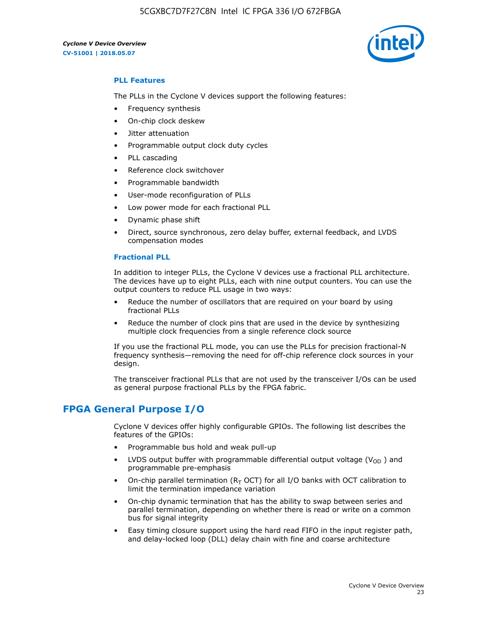5CGXBC7D7F27C8N Intel IC FPGA 336 I/O 672FBGA

*Cyclone V Device Overview* **CV-51001 | 2018.05.07**



### **PLL Features**

The PLLs in the Cyclone V devices support the following features:

- Frequency synthesis
- On-chip clock deskew
- Jitter attenuation
- Programmable output clock duty cycles
- PLL cascading
- Reference clock switchover
- Programmable bandwidth
- User-mode reconfiguration of PLLs
- Low power mode for each fractional PLL
- Dynamic phase shift
- Direct, source synchronous, zero delay buffer, external feedback, and LVDS compensation modes

#### **Fractional PLL**

In addition to integer PLLs, the Cyclone V devices use a fractional PLL architecture. The devices have up to eight PLLs, each with nine output counters. You can use the output counters to reduce PLL usage in two ways:

- Reduce the number of oscillators that are required on your board by using fractional PLLs
- Reduce the number of clock pins that are used in the device by synthesizing multiple clock frequencies from a single reference clock source

If you use the fractional PLL mode, you can use the PLLs for precision fractional-N frequency synthesis—removing the need for off-chip reference clock sources in your design.

The transceiver fractional PLLs that are not used by the transceiver I/Os can be used as general purpose fractional PLLs by the FPGA fabric.

### **FPGA General Purpose I/O**

Cyclone V devices offer highly configurable GPIOs. The following list describes the features of the GPIOs:

- Programmable bus hold and weak pull-up
- LVDS output buffer with programmable differential output voltage ( $V_{OD}$ ) and programmable pre-emphasis
- On-chip parallel termination ( $R<sub>T</sub>$  OCT) for all I/O banks with OCT calibration to limit the termination impedance variation
- On-chip dynamic termination that has the ability to swap between series and parallel termination, depending on whether there is read or write on a common bus for signal integrity
- Easy timing closure support using the hard read FIFO in the input register path, and delay-locked loop (DLL) delay chain with fine and coarse architecture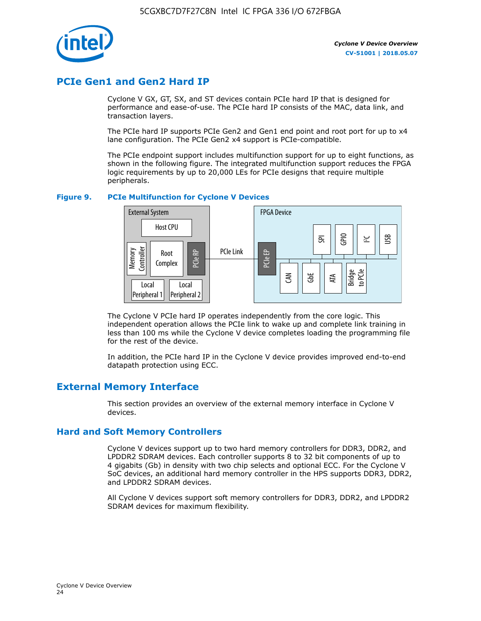

### **PCIe Gen1 and Gen2 Hard IP**

Cyclone V GX, GT, SX, and ST devices contain PCIe hard IP that is designed for performance and ease-of-use. The PCIe hard IP consists of the MAC, data link, and transaction layers.

The PCIe hard IP supports PCIe Gen2 and Gen1 end point and root port for up to x4 lane configuration. The PCIe Gen2 x4 support is PCIe-compatible.

The PCIe endpoint support includes multifunction support for up to eight functions, as shown in the following figure. The integrated multifunction support reduces the FPGA logic requirements by up to 20,000 LEs for PCIe designs that require multiple peripherals.

### **Figure 9. PCIe Multifunction for Cyclone V Devices**



The Cyclone V PCIe hard IP operates independently from the core logic. This independent operation allows the PCIe link to wake up and complete link training in less than 100 ms while the Cyclone V device completes loading the programming file for the rest of the device.

In addition, the PCIe hard IP in the Cyclone V device provides improved end-to-end datapath protection using ECC.

### **External Memory Interface**

This section provides an overview of the external memory interface in Cyclone V devices.

### **Hard and Soft Memory Controllers**

Cyclone V devices support up to two hard memory controllers for DDR3, DDR2, and LPDDR2 SDRAM devices. Each controller supports 8 to 32 bit components of up to 4 gigabits (Gb) in density with two chip selects and optional ECC. For the Cyclone V SoC devices, an additional hard memory controller in the HPS supports DDR3, DDR2, and LPDDR2 SDRAM devices.

All Cyclone V devices support soft memory controllers for DDR3, DDR2, and LPDDR2 SDRAM devices for maximum flexibility.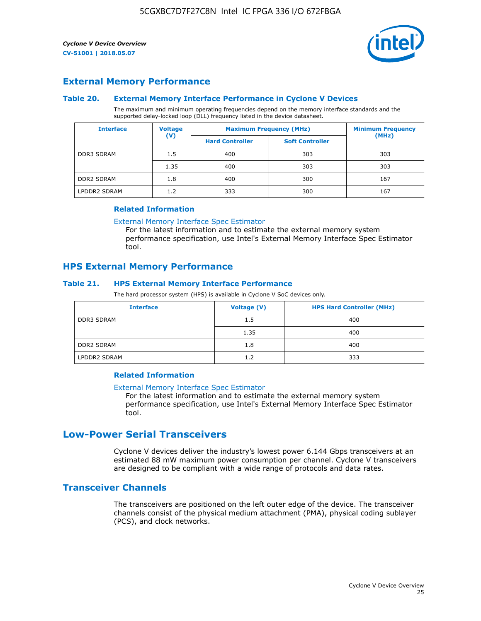

### **External Memory Performance**

### **Table 20. External Memory Interface Performance in Cyclone V Devices**

The maximum and minimum operating frequencies depend on the memory interface standards and the supported delay-locked loop (DLL) frequency listed in the device datasheet.

| <b>Voltage</b><br><b>Interface</b> |                | <b>Maximum Frequency (MHz)</b> | <b>Minimum Frequency</b> |       |  |
|------------------------------------|----------------|--------------------------------|--------------------------|-------|--|
|                                    | $(\mathsf{V})$ | <b>Hard Controller</b>         | <b>Soft Controller</b>   | (MHz) |  |
| <b>DDR3 SDRAM</b>                  | 1.5            | 400                            | 303                      | 303   |  |
|                                    | 1.35           | 400                            | 303                      | 303   |  |
| <b>DDR2 SDRAM</b>                  | 1.8            | 400                            | 300                      | 167   |  |
| LPDDR2 SDRAM                       | 1.2            | 333                            | 300                      | 167   |  |

#### **Related Information**

[External Memory Interface Spec Estimator](https://www.altera.com/solutions/technology/external-memory/spec-estimator.html)

For the latest information and to estimate the external memory system performance specification, use Intel's External Memory Interface Spec Estimator tool.

### **HPS External Memory Performance**

### **Table 21. HPS External Memory Interface Performance**

The hard processor system (HPS) is available in Cyclone V SoC devices only.

| <b>Interface</b>  | Voltage (V) | <b>HPS Hard Controller (MHz)</b> |
|-------------------|-------------|----------------------------------|
| <b>DDR3 SDRAM</b> | 1.5         | 400                              |
|                   | 1.35        | 400                              |
| <b>DDR2 SDRAM</b> | 1.8         | 400                              |
| LPDDR2 SDRAM      | 1.2         | 333                              |

### **Related Information**

#### [External Memory Interface Spec Estimator](https://www.altera.com/solutions/technology/external-memory/spec-estimator.html)

For the latest information and to estimate the external memory system performance specification, use Intel's External Memory Interface Spec Estimator tool.

### **Low-Power Serial Transceivers**

Cyclone V devices deliver the industry's lowest power 6.144 Gbps transceivers at an estimated 88 mW maximum power consumption per channel. Cyclone V transceivers are designed to be compliant with a wide range of protocols and data rates.

### **Transceiver Channels**

The transceivers are positioned on the left outer edge of the device. The transceiver channels consist of the physical medium attachment (PMA), physical coding sublayer (PCS), and clock networks.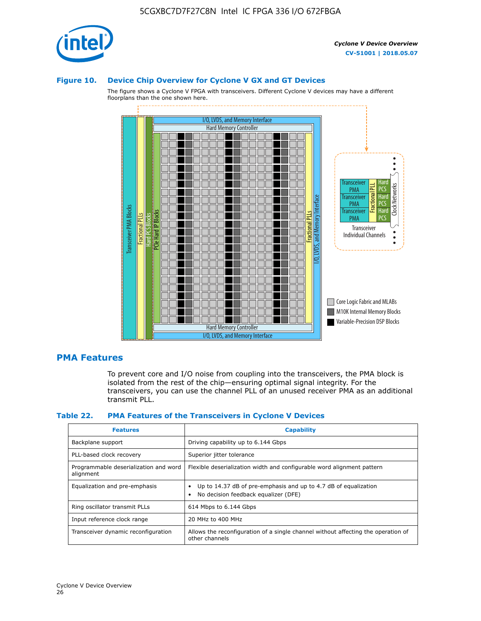

#### **Figure 10. Device Chip Overview for Cyclone V GX and GT Devices**

The figure shows a Cyclone V FPGA with transceivers. Different Cyclone V devices may have a different floorplans than the one shown here.



### **PMA Features**

To prevent core and I/O noise from coupling into the transceivers, the PMA block is isolated from the rest of the chip—ensuring optimal signal integrity. For the transceivers, you can use the channel PLL of an unused receiver PMA as an additional transmit PLL.

#### **Table 22. PMA Features of the Transceivers in Cyclone V Devices**

| <b>Features</b>                                    | <b>Capability</b>                                                                                       |
|----------------------------------------------------|---------------------------------------------------------------------------------------------------------|
| Backplane support                                  | Driving capability up to 6.144 Gbps                                                                     |
| PLL-based clock recovery                           | Superior jitter tolerance                                                                               |
| Programmable deserialization and word<br>alignment | Flexible deserialization width and configurable word alignment pattern                                  |
| Equalization and pre-emphasis                      | Up to 14.37 dB of pre-emphasis and up to 4.7 dB of equalization<br>No decision feedback equalizer (DFE) |
| Ring oscillator transmit PLLs                      | 614 Mbps to 6.144 Gbps                                                                                  |
| Input reference clock range                        | 20 MHz to 400 MHz                                                                                       |
| Transceiver dynamic reconfiguration                | Allows the reconfiguration of a single channel without affecting the operation of<br>other channels     |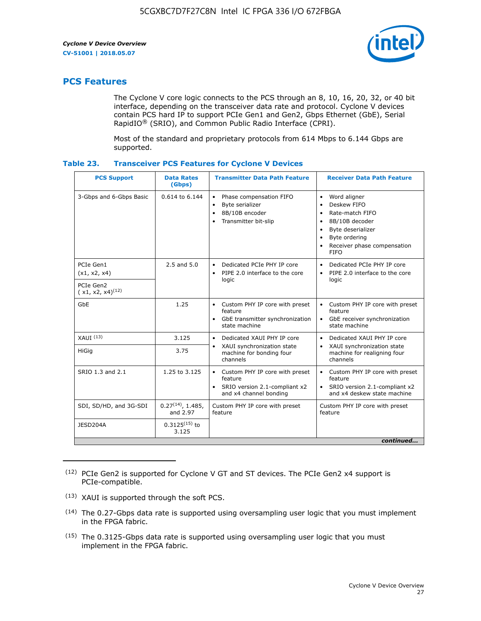

### **PCS Features**

The Cyclone V core logic connects to the PCS through an 8, 10, 16, 20, 32, or 40 bit interface, depending on the transceiver data rate and protocol. Cyclone V devices contain PCS hard IP to support PCIe Gen1 and Gen2, Gbps Ethernet (GbE), Serial RapidIO® (SRIO), and Common Public Radio Interface (CPRI).

Most of the standard and proprietary protocols from 614 Mbps to 6.144 Gbps are supported.

| Table 23. | <b>Transceiver PCS Features for Cyclone V Devices</b> |  |  |  |
|-----------|-------------------------------------------------------|--|--|--|
|-----------|-------------------------------------------------------|--|--|--|

| <b>PCS Support</b>                 | <b>Data Rates</b><br>(Gbps)        | <b>Transmitter Data Path Feature</b>                                                                         | <b>Receiver Data Path Feature</b>                                                                                                                                                                                                  |  |  |  |
|------------------------------------|------------------------------------|--------------------------------------------------------------------------------------------------------------|------------------------------------------------------------------------------------------------------------------------------------------------------------------------------------------------------------------------------------|--|--|--|
| 3-Gbps and 6-Gbps Basic            | 0.614 to 6.144                     | • Phase compensation FIFO<br>Byte serializer<br>8B/10B encoder<br>Transmitter bit-slip                       | Word aligner<br>$\bullet$<br>Deskew FIFO<br>$\bullet$<br>Rate-match FIFO<br>$\bullet$<br>8B/10B decoder<br>$\bullet$<br>Byte deserializer<br>$\bullet$<br>Byte ordering<br>$\bullet$<br>Receiver phase compensation<br><b>FIFO</b> |  |  |  |
| PCIe Gen1<br>(x1, x2, x4)          | $2.5$ and $5.0$                    | Dedicated PCIe PHY IP core<br>PIPE 2.0 interface to the core<br>$\bullet$<br>logic                           | Dedicated PCIe PHY IP core<br>$\bullet$<br>PIPE 2.0 interface to the core<br>$\bullet$<br>logic                                                                                                                                    |  |  |  |
| PCIe Gen2<br>$(x1, x2, x4)^{(12)}$ |                                    |                                                                                                              |                                                                                                                                                                                                                                    |  |  |  |
| GbE                                | 1.25                               | • Custom PHY IP core with preset<br>feature<br>GbE transmitter synchronization<br>$\bullet$<br>state machine | • Custom PHY IP core with preset<br>feature<br>GbE receiver synchronization<br>state machine                                                                                                                                       |  |  |  |
| $XAUI$ $(13)$                      | 3.125                              | Dedicated XAUI PHY IP core<br>$\bullet$                                                                      | Dedicated XAUI PHY IP core<br>$\bullet$                                                                                                                                                                                            |  |  |  |
| HiGig                              | 3.75                               | XAUI synchronization state<br>$\bullet$<br>machine for bonding four<br>channels                              | XAUI synchronization state<br>$\bullet$<br>machine for realigning four<br>channels                                                                                                                                                 |  |  |  |
| SRIO 1.3 and 2.1                   | 1.25 to 3.125                      | • Custom PHY IP core with preset<br>feature<br>• SRIO version 2.1-compliant x2<br>and x4 channel bonding     | • Custom PHY IP core with preset<br>feature<br>• SRIO version 2.1-compliant x2<br>and x4 deskew state machine                                                                                                                      |  |  |  |
| SDI, SD/HD, and 3G-SDI             | $0.27^{(14)}$ , 1.485,<br>and 2.97 | Custom PHY IP core with preset<br>feature                                                                    | Custom PHY IP core with preset<br>feature                                                                                                                                                                                          |  |  |  |
| JESD204A                           | $0.3125^{(15)}$ to<br>3.125        |                                                                                                              |                                                                                                                                                                                                                                    |  |  |  |
| continued                          |                                    |                                                                                                              |                                                                                                                                                                                                                                    |  |  |  |

<sup>(12)</sup> PCIe Gen2 is supported for Cyclone V GT and ST devices. The PCIe Gen2 x4 support is PCIe-compatible.

<sup>(13)</sup> XAUI is supported through the soft PCS.

<sup>(14)</sup> The 0.27-Gbps data rate is supported using oversampling user logic that you must implement in the FPGA fabric.

<sup>(15)</sup> The 0.3125-Gbps data rate is supported using oversampling user logic that you must implement in the FPGA fabric.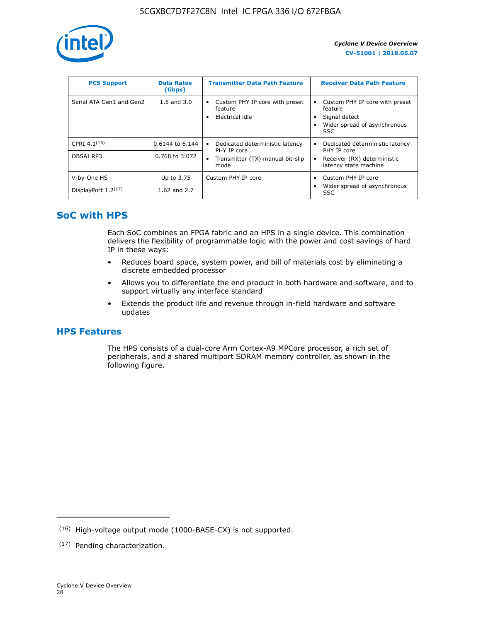

| <b>PCS Support</b>       | <b>Data Rates</b><br>(Gbps) | <b>Transmitter Data Path Feature</b>                         | <b>Receiver Data Path Feature</b>                                                                        |
|--------------------------|-----------------------------|--------------------------------------------------------------|----------------------------------------------------------------------------------------------------------|
| Serial ATA Gen1 and Gen2 | $1.5$ and $3.0$             | Custom PHY IP core with preset<br>feature<br>Electrical idle | Custom PHY IP core with preset<br>feature<br>Signal detect<br>Wider spread of asynchronous<br><b>SSC</b> |
| CPRI 4.1 $(16)$          | $0.6144$ to 6.144           | Dedicated deterministic latency<br>٠<br>PHY IP core          | Dedicated deterministic latency<br>PHY IP core                                                           |
| OBSAI RP3                | 0.768 to 3.072              | Transmitter (TX) manual bit-slip<br>٠<br>mode                | Receiver (RX) deterministic<br>latency state machine                                                     |
| V-by-One HS              | Up to 3.75                  | Custom PHY IP core                                           | Custom PHY IP core                                                                                       |
| DisplayPort $1.2^{(17)}$ | 1.62 and $2.7$              |                                                              | Wider spread of asynchronous<br><b>SSC</b>                                                               |

### **SoC with HPS**

Each SoC combines an FPGA fabric and an HPS in a single device. This combination delivers the flexibility of programmable logic with the power and cost savings of hard IP in these ways:

- Reduces board space, system power, and bill of materials cost by eliminating a discrete embedded processor
- Allows you to differentiate the end product in both hardware and software, and to support virtually any interface standard
- Extends the product life and revenue through in-field hardware and software updates

### **HPS Features**

The HPS consists of a dual-core Arm Cortex-A9 MPCore processor, a rich set of peripherals, and a shared multiport SDRAM memory controller, as shown in the following figure.

<sup>(16)</sup> High-voltage output mode (1000-BASE-CX) is not supported.

<sup>(17)</sup> Pending characterization.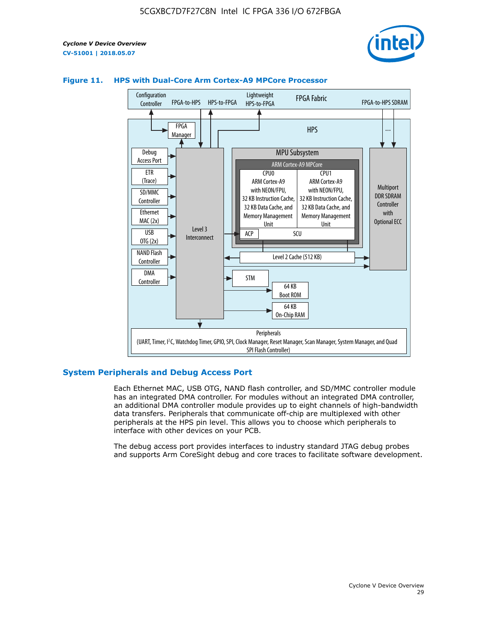



### **Figure 11. HPS with Dual-Core Arm Cortex-A9 MPCore Processor**

### **System Peripherals and Debug Access Port**

Each Ethernet MAC, USB OTG, NAND flash controller, and SD/MMC controller module has an integrated DMA controller. For modules without an integrated DMA controller, an additional DMA controller module provides up to eight channels of high-bandwidth data transfers. Peripherals that communicate off-chip are multiplexed with other peripherals at the HPS pin level. This allows you to choose which peripherals to interface with other devices on your PCB.

The debug access port provides interfaces to industry standard JTAG debug probes and supports Arm CoreSight debug and core traces to facilitate software development.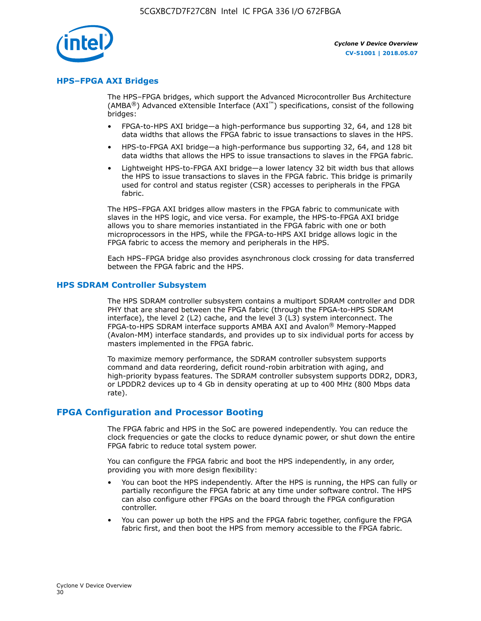

### **HPS–FPGA AXI Bridges**

The HPS–FPGA bridges, which support the Advanced Microcontroller Bus Architecture (AMBA<sup>®</sup>) Advanced eXtensible Interface (AXI<sup>™</sup>) specifications, consist of the following bridges:

- FPGA-to-HPS AXI bridge—a high-performance bus supporting 32, 64, and 128 bit data widths that allows the FPGA fabric to issue transactions to slaves in the HPS.
- HPS-to-FPGA AXI bridge—a high-performance bus supporting 32, 64, and 128 bit data widths that allows the HPS to issue transactions to slaves in the FPGA fabric.
- Lightweight HPS-to-FPGA AXI bridge—a lower latency 32 bit width bus that allows the HPS to issue transactions to slaves in the FPGA fabric. This bridge is primarily used for control and status register (CSR) accesses to peripherals in the FPGA fabric.

The HPS–FPGA AXI bridges allow masters in the FPGA fabric to communicate with slaves in the HPS logic, and vice versa. For example, the HPS-to-FPGA AXI bridge allows you to share memories instantiated in the FPGA fabric with one or both microprocessors in the HPS, while the FPGA-to-HPS AXI bridge allows logic in the FPGA fabric to access the memory and peripherals in the HPS.

Each HPS–FPGA bridge also provides asynchronous clock crossing for data transferred between the FPGA fabric and the HPS.

#### **HPS SDRAM Controller Subsystem**

The HPS SDRAM controller subsystem contains a multiport SDRAM controller and DDR PHY that are shared between the FPGA fabric (through the FPGA-to-HPS SDRAM interface), the level 2 (L2) cache, and the level 3 (L3) system interconnect. The FPGA-to-HPS SDRAM interface supports AMBA AXI and Avalon® Memory-Mapped (Avalon-MM) interface standards, and provides up to six individual ports for access by masters implemented in the FPGA fabric.

To maximize memory performance, the SDRAM controller subsystem supports command and data reordering, deficit round-robin arbitration with aging, and high-priority bypass features. The SDRAM controller subsystem supports DDR2, DDR3, or LPDDR2 devices up to 4 Gb in density operating at up to 400 MHz (800 Mbps data rate).

### **FPGA Configuration and Processor Booting**

The FPGA fabric and HPS in the SoC are powered independently. You can reduce the clock frequencies or gate the clocks to reduce dynamic power, or shut down the entire FPGA fabric to reduce total system power.

You can configure the FPGA fabric and boot the HPS independently, in any order, providing you with more design flexibility:

- You can boot the HPS independently. After the HPS is running, the HPS can fully or partially reconfigure the FPGA fabric at any time under software control. The HPS can also configure other FPGAs on the board through the FPGA configuration controller.
- You can power up both the HPS and the FPGA fabric together, configure the FPGA fabric first, and then boot the HPS from memory accessible to the FPGA fabric.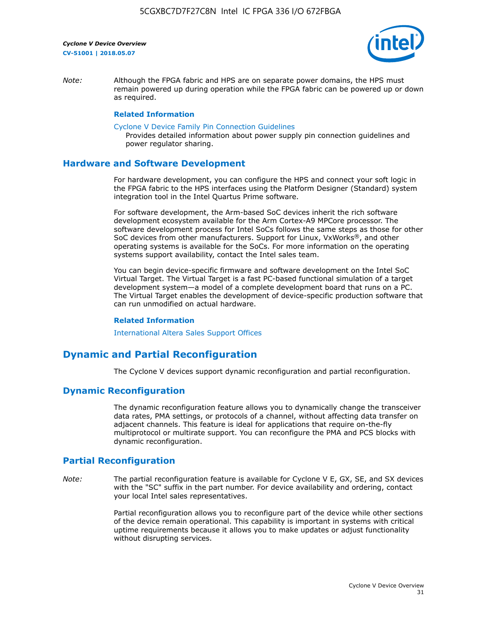

*Note:* Although the FPGA fabric and HPS are on separate power domains, the HPS must remain powered up during operation while the FPGA fabric can be powered up or down as required.

### **Related Information**

[Cyclone V Device Family Pin Connection Guidelines](https://www.altera.com/content/dam/altera-www/global/en_US/pdfs/literature/dp/cyclone-v/pcg-01014.pdf)

Provides detailed information about power supply pin connection guidelines and power regulator sharing.

### **Hardware and Software Development**

For hardware development, you can configure the HPS and connect your soft logic in the FPGA fabric to the HPS interfaces using the Platform Designer (Standard) system integration tool in the Intel Quartus Prime software.

For software development, the Arm-based SoC devices inherit the rich software development ecosystem available for the Arm Cortex-A9 MPCore processor. The software development process for Intel SoCs follows the same steps as those for other SoC devices from other manufacturers. Support for Linux, VxWorks®, and other operating systems is available for the SoCs. For more information on the operating systems support availability, contact the Intel sales team.

You can begin device-specific firmware and software development on the Intel SoC Virtual Target. The Virtual Target is a fast PC-based functional simulation of a target development system—a model of a complete development board that runs on a PC. The Virtual Target enables the development of device-specific production software that can run unmodified on actual hardware.

#### **Related Information**

[International Altera Sales Support Offices](https://www.altera.com/about/contact/contact/international-altera-sales-offices.html)

### **Dynamic and Partial Reconfiguration**

The Cyclone V devices support dynamic reconfiguration and partial reconfiguration.

### **Dynamic Reconfiguration**

The dynamic reconfiguration feature allows you to dynamically change the transceiver data rates, PMA settings, or protocols of a channel, without affecting data transfer on adjacent channels. This feature is ideal for applications that require on-the-fly multiprotocol or multirate support. You can reconfigure the PMA and PCS blocks with dynamic reconfiguration.

### **Partial Reconfiguration**

*Note:* The partial reconfiguration feature is available for Cyclone V E, GX, SE, and SX devices with the "SC" suffix in the part number. For device availability and ordering, contact your local Intel sales representatives.

> Partial reconfiguration allows you to reconfigure part of the device while other sections of the device remain operational. This capability is important in systems with critical uptime requirements because it allows you to make updates or adjust functionality without disrupting services.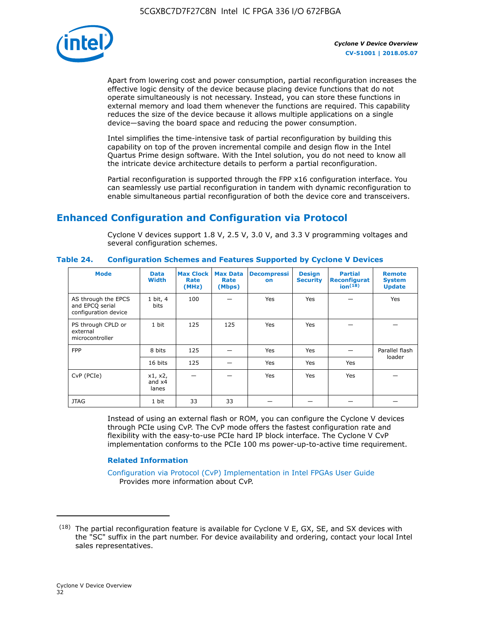

Apart from lowering cost and power consumption, partial reconfiguration increases the effective logic density of the device because placing device functions that do not operate simultaneously is not necessary. Instead, you can store these functions in external memory and load them whenever the functions are required. This capability reduces the size of the device because it allows multiple applications on a single device—saving the board space and reducing the power consumption.

Intel simplifies the time-intensive task of partial reconfiguration by building this capability on top of the proven incremental compile and design flow in the Intel Quartus Prime design software. With the Intel solution, you do not need to know all the intricate device architecture details to perform a partial reconfiguration.

Partial reconfiguration is supported through the FPP x16 configuration interface. You can seamlessly use partial reconfiguration in tandem with dynamic reconfiguration to enable simultaneous partial reconfiguration of both the device core and transceivers.

### **Enhanced Configuration and Configuration via Protocol**

Cyclone V devices support 1.8 V, 2.5 V, 3.0 V, and 3.3 V programming voltages and several configuration schemes.

| <b>Mode</b>                                                    | <b>Data</b><br>Width         | Max Clock  <br>Rate<br>(MHz) | <b>Max Data</b><br>Rate<br>(Mbps) | <b>Decompressi</b><br>on | <b>Design</b><br><b>Security</b> | <b>Partial</b><br>Reconfigurat<br>ion <sup>(18)</sup> | <b>Remote</b><br><b>System</b><br><b>Update</b> |
|----------------------------------------------------------------|------------------------------|------------------------------|-----------------------------------|--------------------------|----------------------------------|-------------------------------------------------------|-------------------------------------------------|
| AS through the EPCS<br>and EPCQ serial<br>configuration device | 1 bit, 4<br>bits             | 100                          |                                   | Yes                      | <b>Yes</b>                       |                                                       | Yes                                             |
| PS through CPLD or<br>external<br>microcontroller              | 1 bit                        | 125                          | 125                               | Yes                      | Yes                              |                                                       |                                                 |
| <b>FPP</b>                                                     | 8 bits                       | 125                          |                                   | Yes                      | <b>Yes</b>                       |                                                       | Parallel flash                                  |
|                                                                | 16 bits                      | 125                          |                                   | Yes                      | <b>Yes</b>                       | Yes                                                   | loader                                          |
| CvP (PCIe)                                                     | x1, x2,<br>and $x4$<br>lanes |                              |                                   | Yes                      | <b>Yes</b>                       | Yes                                                   |                                                 |
| <b>JTAG</b>                                                    | 1 bit                        | 33                           | 33                                |                          |                                  |                                                       |                                                 |

**Table 24. Configuration Schemes and Features Supported by Cyclone V Devices**

Instead of using an external flash or ROM, you can configure the Cyclone V devices through PCIe using CvP. The CvP mode offers the fastest configuration rate and flexibility with the easy-to-use PCIe hard IP block interface. The Cyclone V CvP implementation conforms to the PCIe 100 ms power-up-to-active time requirement.

### **Related Information**

[Configuration via Protocol \(CvP\) Implementation in Intel FPGAs User Guide](https://www.altera.com/documentation/nik1412546950394.html#nik1412546833714) Provides more information about CvP.

 $(18)$  The partial reconfiguration feature is available for Cyclone V E, GX, SE, and SX devices with the "SC" suffix in the part number. For device availability and ordering, contact your local Intel sales representatives.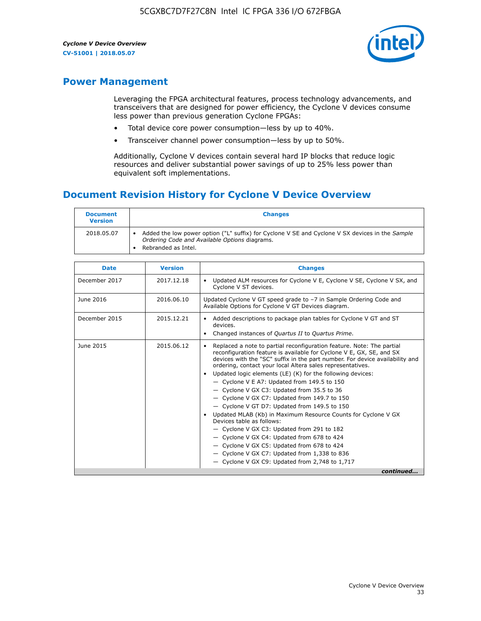

### **Power Management**

Leveraging the FPGA architectural features, process technology advancements, and transceivers that are designed for power efficiency, the Cyclone V devices consume less power than previous generation Cyclone FPGAs:

- Total device core power consumption—less by up to 40%.
- Transceiver channel power consumption—less by up to 50%.

Additionally, Cyclone V devices contain several hard IP blocks that reduce logic resources and deliver substantial power savings of up to 25% less power than equivalent soft implementations.

### **Document Revision History for Cyclone V Device Overview**

| <b>Document</b><br><b>Version</b> | <b>Changes</b>                                                                                                                                                          |
|-----------------------------------|-------------------------------------------------------------------------------------------------------------------------------------------------------------------------|
| 2018.05.07                        | Added the low power option ("L" suffix) for Cyclone V SE and Cyclone V SX devices in the Sample<br>Ordering Code and Available Options diagrams.<br>Rebranded as Intel. |

| <b>Date</b>   | <b>Version</b> | <b>Changes</b>                                                                                                                                                                                                                                                                                                                                                                                                                                                                                                                                                                                                                                                                                                                                                                                                                                                                                                  |
|---------------|----------------|-----------------------------------------------------------------------------------------------------------------------------------------------------------------------------------------------------------------------------------------------------------------------------------------------------------------------------------------------------------------------------------------------------------------------------------------------------------------------------------------------------------------------------------------------------------------------------------------------------------------------------------------------------------------------------------------------------------------------------------------------------------------------------------------------------------------------------------------------------------------------------------------------------------------|
| December 2017 | 2017.12.18     | Updated ALM resources for Cyclone V E, Cyclone V SE, Cyclone V SX, and<br>Cyclone V ST devices.                                                                                                                                                                                                                                                                                                                                                                                                                                                                                                                                                                                                                                                                                                                                                                                                                 |
| June 2016     | 2016.06.10     | Updated Cyclone V GT speed grade to -7 in Sample Ordering Code and<br>Available Options for Cyclone V GT Devices diagram.                                                                                                                                                                                                                                                                                                                                                                                                                                                                                                                                                                                                                                                                                                                                                                                       |
| December 2015 | 2015.12.21     | Added descriptions to package plan tables for Cyclone V GT and ST<br>devices.<br>Changed instances of Quartus II to Quartus Prime.                                                                                                                                                                                                                                                                                                                                                                                                                                                                                                                                                                                                                                                                                                                                                                              |
| June 2015     | 2015.06.12     | Replaced a note to partial reconfiguration feature. Note: The partial<br>reconfiguration feature is available for Cyclone V E, GX, SE, and SX<br>devices with the "SC" suffix in the part number. For device availability and<br>ordering, contact your local Altera sales representatives.<br>Updated logic elements (LE) (K) for the following devices:<br>$\bullet$<br>- Cyclone V E A7: Updated from 149.5 to 150<br>- Cyclone V GX C3: Updated from 35.5 to 36<br>- Cyclone V GX C7: Updated from 149.7 to 150<br>- Cyclone V GT D7: Updated from 149.5 to 150<br>Updated MLAB (Kb) in Maximum Resource Counts for Cyclone V GX<br>Devices table as follows:<br>- Cyclone V GX C3: Updated from 291 to 182<br>- Cyclone V GX C4: Updated from 678 to 424<br>- Cyclone V GX C5: Updated from 678 to 424<br>- Cyclone V GX C7: Updated from 1,338 to 836<br>$-$ Cyclone V GX C9: Updated from 2,748 to 1,717 |
|               |                | continued                                                                                                                                                                                                                                                                                                                                                                                                                                                                                                                                                                                                                                                                                                                                                                                                                                                                                                       |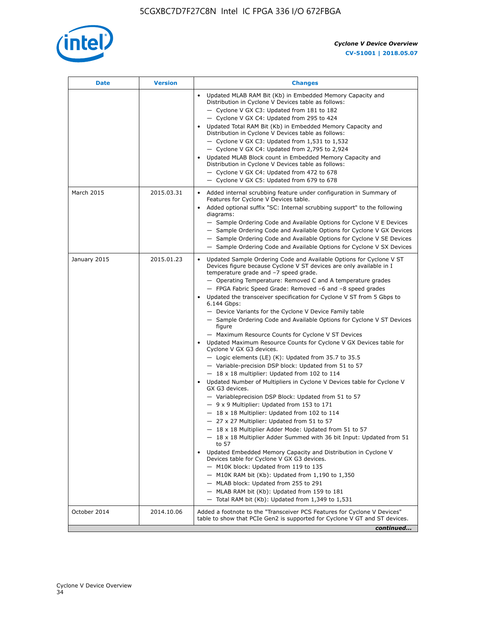

| <b>Date</b>  | <b>Version</b> | <b>Changes</b>                                                                                                                                                                                                                                                                                                                                                                                                                                                                                                                                                                                                                                                                                                                                                                                                                                                                                                                                                                                                                                                                                                                                                                                                                                                                                                                                                                                                                                                                                                                                                                                                                                                                                                |
|--------------|----------------|---------------------------------------------------------------------------------------------------------------------------------------------------------------------------------------------------------------------------------------------------------------------------------------------------------------------------------------------------------------------------------------------------------------------------------------------------------------------------------------------------------------------------------------------------------------------------------------------------------------------------------------------------------------------------------------------------------------------------------------------------------------------------------------------------------------------------------------------------------------------------------------------------------------------------------------------------------------------------------------------------------------------------------------------------------------------------------------------------------------------------------------------------------------------------------------------------------------------------------------------------------------------------------------------------------------------------------------------------------------------------------------------------------------------------------------------------------------------------------------------------------------------------------------------------------------------------------------------------------------------------------------------------------------------------------------------------------------|
|              |                | Updated MLAB RAM Bit (Kb) in Embedded Memory Capacity and<br>Distribution in Cyclone V Devices table as follows:<br>- Cyclone V GX C3: Updated from 181 to 182<br>- Cyclone V GX C4: Updated from 295 to 424<br>Updated Total RAM Bit (Kb) in Embedded Memory Capacity and<br>Distribution in Cyclone V Devices table as follows:<br>- Cyclone V GX C3: Updated from $1,531$ to $1,532$<br>- Cyclone V GX C4: Updated from 2,795 to 2,924<br>Updated MLAB Block count in Embedded Memory Capacity and<br>Distribution in Cyclone V Devices table as follows:<br>- Cyclone V GX C4: Updated from 472 to 678<br>- Cyclone V GX C5: Updated from 679 to 678                                                                                                                                                                                                                                                                                                                                                                                                                                                                                                                                                                                                                                                                                                                                                                                                                                                                                                                                                                                                                                                      |
| March 2015   | 2015.03.31     | Added internal scrubbing feature under configuration in Summary of<br>$\bullet$<br>Features for Cyclone V Devices table.<br>Added optional suffix "SC: Internal scrubbing support" to the following<br>diagrams:<br>- Sample Ordering Code and Available Options for Cyclone V E Devices<br>- Sample Ordering Code and Available Options for Cyclone V GX Devices<br>- Sample Ordering Code and Available Options for Cyclone V SE Devices<br>- Sample Ordering Code and Available Options for Cyclone V SX Devices                                                                                                                                                                                                                                                                                                                                                                                                                                                                                                                                                                                                                                                                                                                                                                                                                                                                                                                                                                                                                                                                                                                                                                                           |
| January 2015 | 2015.01.23     | Updated Sample Ordering Code and Available Options for Cyclone V ST<br>Devices figure because Cyclone V ST devices are only available in I<br>temperature grade and -7 speed grade.<br>- Operating Temperature: Removed C and A temperature grades<br>- FPGA Fabric Speed Grade: Removed -6 and -8 speed grades<br>Updated the transceiver specification for Cyclone V ST from 5 Gbps to<br>6.144 Gbps:<br>- Device Variants for the Cyclone V Device Family table<br>- Sample Ordering Code and Available Options for Cyclone V ST Devices<br>figure<br>- Maximum Resource Counts for Cyclone V ST Devices<br>Updated Maximum Resource Counts for Cyclone V GX Devices table for<br>Cyclone V GX G3 devices.<br>$-$ Logic elements (LE) (K): Updated from 35.7 to 35.5<br>- Variable-precision DSP block: Updated from 51 to 57<br>$-18 \times 18$ multiplier: Updated from 102 to 114<br>Updated Number of Multipliers in Cyclone V Devices table for Cyclone V<br>GX G3 devices.<br>- Variableprecision DSP Block: Updated from 51 to 57<br>$-9x9$ Multiplier: Updated from 153 to 171<br>$-18 \times 18$ Multiplier: Updated from 102 to 114<br>- 27 x 27 Multiplier: Updated from 51 to 57<br>- 18 x 18 Multiplier Adder Mode: Updated from 51 to 57<br>$-18 \times 18$ Multiplier Adder Summed with 36 bit Input: Updated from 51<br>to 57<br>Updated Embedded Memory Capacity and Distribution in Cyclone V<br>Devices table for Cyclone V GX G3 devices.<br>- M10K block: Updated from 119 to 135<br>- M10K RAM bit (Kb): Updated from 1,190 to 1,350<br>- MLAB block: Updated from 255 to 291<br>- MLAB RAM bit (Kb): Updated from 159 to 181<br>$-$ Total RAM bit (Kb): Updated from 1,349 to 1,531 |
| October 2014 | 2014.10.06     | Added a footnote to the "Transceiver PCS Features for Cyclone V Devices"<br>table to show that PCIe Gen2 is supported for Cyclone V GT and ST devices.                                                                                                                                                                                                                                                                                                                                                                                                                                                                                                                                                                                                                                                                                                                                                                                                                                                                                                                                                                                                                                                                                                                                                                                                                                                                                                                                                                                                                                                                                                                                                        |
|              |                | continued                                                                                                                                                                                                                                                                                                                                                                                                                                                                                                                                                                                                                                                                                                                                                                                                                                                                                                                                                                                                                                                                                                                                                                                                                                                                                                                                                                                                                                                                                                                                                                                                                                                                                                     |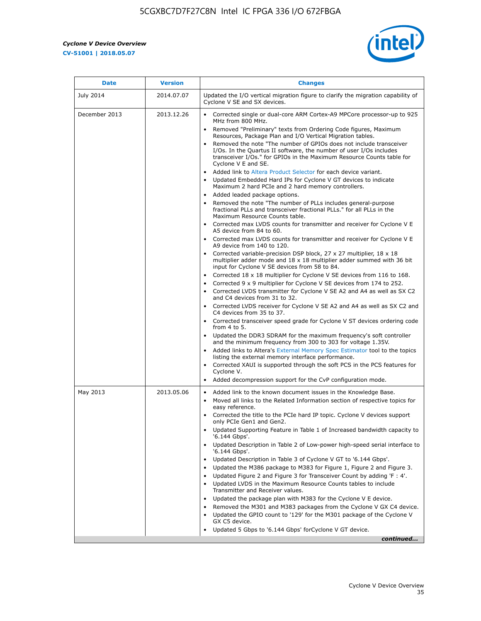r



| <b>Date</b>   | <b>Version</b> | <b>Changes</b>                                                                                                                                                                                                                                                                                                                                                                                                                                                                                                                                                                                                                                                                                                                                                                                                                                                                                                                                                                                                                                                                                                                                                                                                                                   |
|---------------|----------------|--------------------------------------------------------------------------------------------------------------------------------------------------------------------------------------------------------------------------------------------------------------------------------------------------------------------------------------------------------------------------------------------------------------------------------------------------------------------------------------------------------------------------------------------------------------------------------------------------------------------------------------------------------------------------------------------------------------------------------------------------------------------------------------------------------------------------------------------------------------------------------------------------------------------------------------------------------------------------------------------------------------------------------------------------------------------------------------------------------------------------------------------------------------------------------------------------------------------------------------------------|
| July 2014     | 2014.07.07     | Updated the I/O vertical migration figure to clarify the migration capability of<br>Cyclone V SE and SX devices.                                                                                                                                                                                                                                                                                                                                                                                                                                                                                                                                                                                                                                                                                                                                                                                                                                                                                                                                                                                                                                                                                                                                 |
| December 2013 | 2013.12.26     | Corrected single or dual-core ARM Cortex-A9 MPCore processor-up to 925<br>MHz from 800 MHz.<br>Removed "Preliminary" texts from Ordering Code figures, Maximum<br>Resources, Package Plan and I/O Vertical Migration tables.<br>Removed the note "The number of GPIOs does not include transceiver<br>I/Os. In the Quartus II software, the number of user I/Os includes<br>transceiver I/Os." for GPIOs in the Maximum Resource Counts table for<br>Cyclone V E and SE.<br>Added link to Altera Product Selector for each device variant.<br>Updated Embedded Hard IPs for Cyclone V GT devices to indicate<br>Maximum 2 hard PCIe and 2 hard memory controllers.<br>• Added leaded package options.<br>Removed the note "The number of PLLs includes general-purpose<br>fractional PLLs and transceiver fractional PLLs." for all PLLs in the<br>Maximum Resource Counts table.<br>• Corrected max LVDS counts for transmitter and receiver for Cyclone V E                                                                                                                                                                                                                                                                                    |
|               |                | A5 device from 84 to 60.<br>• Corrected max LVDS counts for transmitter and receiver for Cyclone V E<br>A9 device from 140 to 120.<br>Corrected variable-precision DSP block, 27 x 27 multiplier, 18 x 18<br>multiplier adder mode and 18 x 18 multiplier adder summed with 36 bit<br>input for Cyclone V SE devices from 58 to 84.<br>Corrected 18 x 18 multiplier for Cyclone V SE devices from 116 to 168.<br>Corrected 9 x 9 multiplier for Cyclone V SE devices from 174 to 252.<br>• Corrected LVDS transmitter for Cyclone V SE A2 and A4 as well as SX C2<br>and C4 devices from 31 to 32.<br>• Corrected LVDS receiver for Cyclone V SE A2 and A4 as well as SX C2 and<br>C4 devices from 35 to 37.<br>• Corrected transceiver speed grade for Cyclone V ST devices ordering code<br>from 4 to 5.<br>• Updated the DDR3 SDRAM for the maximum frequency's soft controller<br>and the minimum frequency from 300 to 303 for voltage 1.35V.<br>Added links to Altera's External Memory Spec Estimator tool to the topics<br>listing the external memory interface performance.<br>• Corrected XAUI is supported through the soft PCS in the PCS features for<br>Cyclone V.<br>Added decompression support for the CvP configuration mode. |
| May 2013      | 2013.05.06     | Added link to the known document issues in the Knowledge Base.<br>$\bullet$<br>Moved all links to the Related Information section of respective topics for<br>$\bullet$<br>easy reference.<br>• Corrected the title to the PCIe hard IP topic. Cyclone V devices support<br>only PCIe Gen1 and Gen2.<br>• Updated Supporting Feature in Table 1 of Increased bandwidth capacity to<br>'6.144 Gbps'.<br>Updated Description in Table 2 of Low-power high-speed serial interface to<br>'6.144 Gbps'.<br>Updated Description in Table 3 of Cyclone V GT to '6.144 Gbps'.<br>Updated the M386 package to M383 for Figure 1, Figure 2 and Figure 3.<br>$\bullet$<br>Updated Figure 2 and Figure 3 for Transceiver Count by adding 'F : 4'.<br>$\bullet$<br>Updated LVDS in the Maximum Resource Counts tables to include<br>Transmitter and Receiver values.<br>Updated the package plan with M383 for the Cyclone V E device.<br>Removed the M301 and M383 packages from the Cyclone V GX C4 device.<br>Updated the GPIO count to '129' for the M301 package of the Cyclone V<br>$\bullet$<br>GX C5 device.<br>Updated 5 Gbps to '6.144 Gbps' for Cyclone V GT device.<br>continued                                                                  |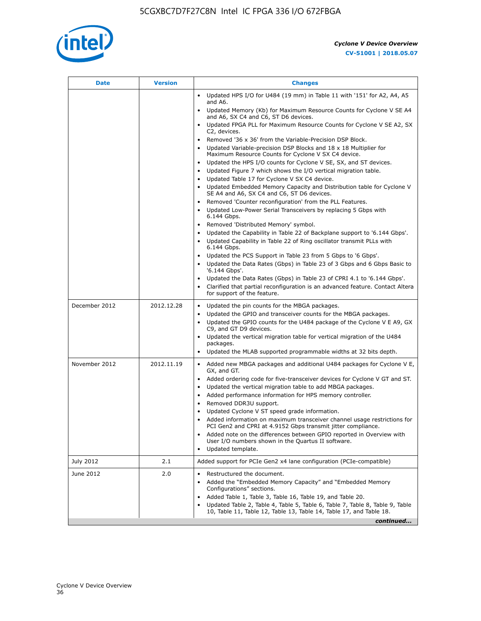

| Date          | <b>Version</b> | <b>Changes</b>                                                                                                                                                                                                                                                                                                                                                                                                                                                                                                                                                                                                                                                                                                                                                                                                                                                                                                                                |
|---------------|----------------|-----------------------------------------------------------------------------------------------------------------------------------------------------------------------------------------------------------------------------------------------------------------------------------------------------------------------------------------------------------------------------------------------------------------------------------------------------------------------------------------------------------------------------------------------------------------------------------------------------------------------------------------------------------------------------------------------------------------------------------------------------------------------------------------------------------------------------------------------------------------------------------------------------------------------------------------------|
|               |                | Updated HPS I/O for U484 (19 mm) in Table 11 with '151' for A2, A4, A5<br>$\bullet$<br>and A6.                                                                                                                                                                                                                                                                                                                                                                                                                                                                                                                                                                                                                                                                                                                                                                                                                                                |
|               |                | Updated Memory (Kb) for Maximum Resource Counts for Cyclone V SE A4<br>and A6, SX C4 and C6, ST D6 devices.                                                                                                                                                                                                                                                                                                                                                                                                                                                                                                                                                                                                                                                                                                                                                                                                                                   |
|               |                | Updated FPGA PLL for Maximum Resource Counts for Cyclone V SE A2, SX<br>C2, devices.                                                                                                                                                                                                                                                                                                                                                                                                                                                                                                                                                                                                                                                                                                                                                                                                                                                          |
|               |                | Removed '36 x 36' from the Variable-Precision DSP Block.<br>Updated Variable-precision DSP Blocks and 18 x 18 Multiplier for<br>Maximum Resource Counts for Cyclone V SX C4 device.<br>Updated the HPS I/O counts for Cyclone V SE, SX, and ST devices.<br>Updated Figure 7 which shows the I/O vertical migration table.<br>Updated Table 17 for Cyclone V SX C4 device.<br>$\bullet$<br>• Updated Embedded Memory Capacity and Distribution table for Cyclone V<br>SE A4 and A6, SX C4 and C6, ST D6 devices.<br>• Removed 'Counter reconfiguration' from the PLL Features.<br>Updated Low-Power Serial Transceivers by replacing 5 Gbps with<br>6.144 Gbps.<br>• Removed 'Distributed Memory' symbol.<br>Updated the Capability in Table 22 of Backplane support to '6.144 Gbps'.<br>• Updated Capability in Table 22 of Ring oscillator transmit PLLs with<br>6.144 Gbps.<br>Updated the PCS Support in Table 23 from 5 Gbps to '6 Gbps'. |
|               |                | Updated the Data Rates (Gbps) in Table 23 of 3 Gbps and 6 Gbps Basic to<br>'6.144 Gbps'.                                                                                                                                                                                                                                                                                                                                                                                                                                                                                                                                                                                                                                                                                                                                                                                                                                                      |
|               |                | Updated the Data Rates (Gbps) in Table 23 of CPRI 4.1 to '6.144 Gbps'.<br>Clarified that partial reconfiguration is an advanced feature. Contact Altera<br>for support of the feature.                                                                                                                                                                                                                                                                                                                                                                                                                                                                                                                                                                                                                                                                                                                                                        |
| December 2012 | 2012.12.28     | Updated the pin counts for the MBGA packages.<br>$\bullet$<br>Updated the GPIO and transceiver counts for the MBGA packages.<br>Updated the GPIO counts for the U484 package of the Cyclone V E A9, GX<br>C9, and GT D9 devices.<br>• Updated the vertical migration table for vertical migration of the U484<br>packages.<br>Updated the MLAB supported programmable widths at 32 bits depth.                                                                                                                                                                                                                                                                                                                                                                                                                                                                                                                                                |
| November 2012 | 2012.11.19     | • Added new MBGA packages and additional U484 packages for Cyclone V E,<br>GX, and GT.<br>• Added ordering code for five-transceiver devices for Cyclone V GT and ST.<br>Updated the vertical migration table to add MBGA packages.<br>٠<br>Added performance information for HPS memory controller.<br>$\bullet$<br>Removed DDR3U support.<br>$\bullet$<br>Updated Cyclone V ST speed grade information.<br>Added information on maximum transceiver channel usage restrictions for<br>PCI Gen2 and CPRI at 4.9152 Gbps transmit jitter compliance.<br>Added note on the differences between GPIO reported in Overview with<br>User I/O numbers shown in the Quartus II software.<br>Updated template.                                                                                                                                                                                                                                       |
| July 2012     | 2.1            | Added support for PCIe Gen2 x4 lane configuration (PCIe-compatible)                                                                                                                                                                                                                                                                                                                                                                                                                                                                                                                                                                                                                                                                                                                                                                                                                                                                           |
| June 2012     | 2.0            | Restructured the document.<br>٠<br>Added the "Embedded Memory Capacity" and "Embedded Memory<br>Configurations" sections.<br>Added Table 1, Table 3, Table 16, Table 19, and Table 20.<br>$\bullet$<br>Updated Table 2, Table 4, Table 5, Table 6, Table 7, Table 8, Table 9, Table<br>10, Table 11, Table 12, Table 13, Table 14, Table 17, and Table 18.                                                                                                                                                                                                                                                                                                                                                                                                                                                                                                                                                                                    |
|               |                | continued                                                                                                                                                                                                                                                                                                                                                                                                                                                                                                                                                                                                                                                                                                                                                                                                                                                                                                                                     |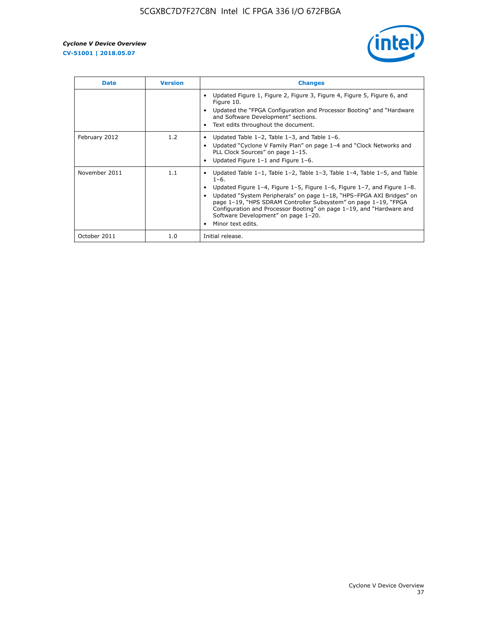

| <b>Date</b>   | <b>Version</b> | <b>Changes</b>                                                                                                                                                                                                                                                                                                                                                                                                                                                             |
|---------------|----------------|----------------------------------------------------------------------------------------------------------------------------------------------------------------------------------------------------------------------------------------------------------------------------------------------------------------------------------------------------------------------------------------------------------------------------------------------------------------------------|
|               |                | Updated Figure 1, Figure 2, Figure 3, Figure 4, Figure 5, Figure 6, and<br>Figure 10.<br>Updated the "FPGA Configuration and Processor Booting" and "Hardware<br>and Software Development" sections.<br>Text edits throughout the document.                                                                                                                                                                                                                                |
| February 2012 | 1.2            | Updated Table $1-2$ , Table $1-3$ , and Table $1-6$ .<br>Updated "Cyclone V Family Plan" on page 1-4 and "Clock Networks and<br>PLL Clock Sources" on page 1-15.<br>Updated Figure 1-1 and Figure 1-6.                                                                                                                                                                                                                                                                     |
| November 2011 | 1.1            | Updated Table $1-1$ , Table $1-2$ , Table $1-3$ , Table $1-4$ , Table $1-5$ , and Table<br>$1 - 6.$<br>Updated Figure 1-4, Figure 1-5, Figure 1-6, Figure 1-7, and Figure 1-8.<br>Updated "System Peripherals" on page 1-18, "HPS-FPGA AXI Bridges" on<br>page 1-19, "HPS SDRAM Controller Subsystem" on page 1-19, "FPGA<br>Configuration and Processor Booting" on page 1-19, and "Hardware and<br>Software Development" on page 1-20.<br>Minor text edits.<br>$\bullet$ |
| October 2011  | 1.0            | Initial release.                                                                                                                                                                                                                                                                                                                                                                                                                                                           |